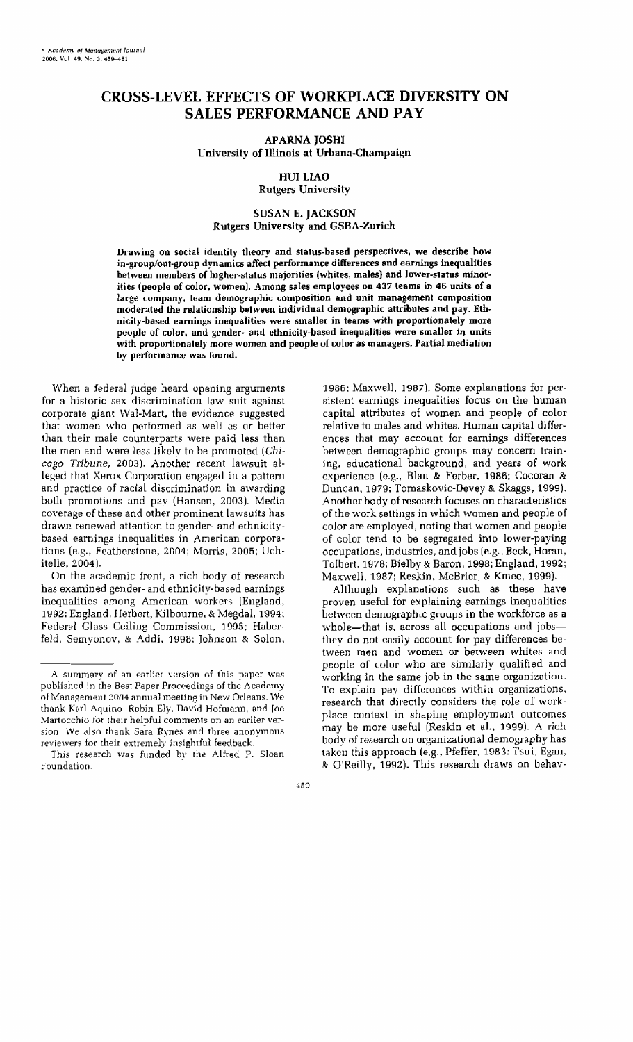# **CROSS-LEVEL EFFECTS OF WORKPLACE DIVERSITY ON SALES PERFORMANCE AND PAY**

# **APARNA JOSH1 University of Illinois at Urbana-Champaign**

#### **HUI LIAO Rutgers University**

# **SUSAN E. JACKSON Rutgers University and GSBA-Zurich**

Drawing on social identity theory and status-based perspectives, we describe how **in-group/out-group dynamics affect performance differences and earnings inequalities between members of higher-status majorities (whites, males) and lower-slatus minorities (people of color, women). Among sales employees on 437 teams in 46 units of a large company, team demographic composition and unit management composition moderated the relationship between individual demographic attributes and pay. Bthnicity-based earnings inequalities were smaller in teams with proportionately more people of color, and gender- and ethnicity-based inequalities were smaller in units with proporiionalely more women and people of color as managers. Partial medialion by performance was found.** 

When a **federal** judge heard upening arguments for a historic sex discrimination law suit against corporate giant Wal-Mart, the evidence suggested that women who performed as well as or better than their male counterparts were paid less than the men and were less likely to be promoted (Chicago *Tribune,* **2003).** Another **recent** lawsuit alleged that Xerox Corporation engaged in a pattern and practice of racial discrimination in awarding both promotions and pay (Hansen, 2003). Media coverage **of** these and other prominent lawsuits **has**  drawn renewed attention to gender- and ethnicitybased earnings inequalities in American corporations (e.g., Featherstone, 2004: Morris, 2005; Uchitelle, 2004).

On the academic front, a rich body of research has examined gender- and ethnicity-based earnings inequalities among American workers [England, 1992: England, Herbert, Kilbourne, & Megdal, 1994; Federal Glass Ceiling Commission, 1995; Haberfeld, Semyonov, & **Addj.** 1998; Johnson **a** Solon,

**1986;** Maxwell, 1987). Some explanations for persistent **earnings inequalities** focus on the human capital attributes of women **and people** of color relative to males and whites. Human **capital** differences that may account for earnings differences between demographic groups may **concern** training, educational background, and **years** of work experience (e.g., Blau & Ferber, **1986;** Cocoran & Duncan. **1979;** Tomaskovic-Devey & Skaggs, **1999).**  Another bodv of research focuses on characteristics of the work settings in which women and people of color are employed, noting that women and people of color tend to be segregated into lower-paying occupations, industries, and jobs **[e.g.. Beck,** Horan, ToIbert, 1978; Bielby & Baron, **1998; England, 1992;**  Maxwell, 1987; **Reskin.** McBrier, & Knlsc, 1999).

Although explanations such as these have proven useful for explaining earnings inequalities between demographic groups in the workforce as a whole-that is, across all occupations and jobsthev do not easily account for pay differences between men and women or **between** whites arid people of color who **are** similarly qualified and working in the same job in the same organization. To explain **pav** differences within organizations, research that directly considers the role of workplace context in shaping employment outcomes may be more useful **(Reskin et** al., **1999). A** rich body of research on organizational demography has **taker]** this approach *(e.g.,* Pfeffer, **1983:** Tsui, Egan, & O'Reilly, 1992). This research **draws on** behav-

 $459$ 

**A** summary of an earlier version of this paper **was**  published in the Best Paper Proceedings of the Academy of Manageme~~t **2004** annual lneeting in **New** Orleans. **We**  thank Karl Aquino. Robin Ely, David Hofmann, and Joe Martocchio for their helpful comments on an earlier version. We also **thank** Sara Rynes and three anonvmous reviewers for their extremely insightful feedback.

This research was funded by the Alfred P. Sloan Foundation.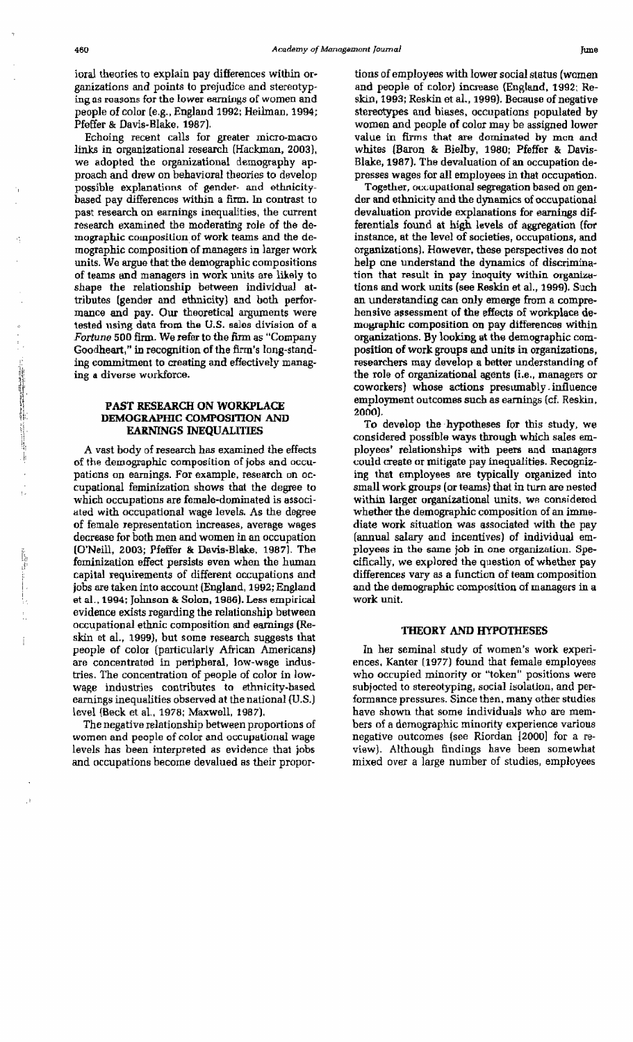ioral theories to **explain pay differences** witbin **organizations** and **points to prejudice and stereotyping as masons for** the **lower earniugs of women and people** of **color [e.g., England 1992;** Heilman, **1994; Pfeffer** & **Davis-BIake, 1987).** 

**Echoing recent calls** for **greater** micro-mamo **links in** organizational **research** (Hackman, **2003 1, we adopted the organizational demography approach** and **drew on behavioral theories to deveIop**  possible explanations of gender- and ethnicity**based pay differences within a** fnm. In **contrast to**  past **research on earnings inequalities, the current research examined** tbe **moderating role of the demographic compositiun of work teams and the demographic composition of managers in larger work**  units. **We argue that the demographic compositions**  of **teams and managers** in **work** units are **likely to shape the relationship between individual attributes [gender and** ethnicity) and both **perfor**mance **and pay.** Our **theoretical arguments were tested using data from the U.S. sales division of a** *Fortune* **500** firm. **We refer to the firm as "Company**  Goodheart," in recognition of the firm's long-stand**ing commitment to creating and effectively** manag**ing a diverse workforce.** 

# **PAST RESEARCH ON WORKPLACE DEMOGRAPHIC COMPOSITION AND EARNINGS INEQUALITIES**

**A vast body** ~f **research has examined the effects of the demographic composition of jobs and occu**pations **on earnings. For example, research on occupational** feminization **shows that the depe to which occupations are female-dominated is associated with occupational wage leveb. As the degree of female representation increases, average weges decrease for** both **men** and **women** in **an** occupation **[O'Neill, 2003; Pfeffer gt Davis-Blake, 19871. The feminization effect persists even when the** human **capital requirements** of **different occupations** and **jobs** are **taken** into **account (England, 1992; England et al., 1994; Johnson** & **Solon, 1986). Less empirical evidence exists** regarding **the relationship between occupational ethnic composition and earnings (Reskin** et al., **1999), but some research suggests** that **people of color [particularly** Mican **Americans) are concentrated** in peripheral, **low-wege industries. The concentration of people of color in lowwage** industries **conbibutes to ethnicity-based earnings inequalities observed at the national (U.S.] level {Beck et al., 1978: Maxwell, 1987),** 

The **negative** relationship **between proportions** of  $w$ omen and people of color and occupational wage levels **has** been **interpreted as** evidence **that jobs**  and occupations **become devalued as their** propor**tions of employees** with **lower social status (women and people of color) increase (England, 2992: Resh, 1993; Reskin et al., 1999). Because of negative stereotypes and biases, occupations populated by women** and **people of color** may be **assigned lower value in firrns that am dominated by mcn and**  *whites* **[Baron** & **Bielby, 1980; Pfeffer** & **Davis-Blake, 1987).** The **devaluation of an occupation depresses wages for all employees** in **that occupation.** 

Together, occupational segregation based on gen**der and ethnicity and the dynamics of occupational devaluation provide explanations for earnings differentials** found **at high levels of aggregatian (fur instance, at the level of societies, occupations, and organizetiam). However, these perspectives do not help one** understand **the dynamics of discrimina**tion that result in pay inoquity within organiza**tions** and **work** units **(see Reskin et al., 1999).** Such an understanding can only emerge from a compre**hensive assessment of the eifects of workplace demographic composition on pay differences within organizations. By looking at the demographic composition of work groups and** units i~ **organizations, researchers may develop a better uaderstanding of the role of organizational agents** *(i.e.,* **managers** or **coworkers) whose actions presumably. influence employment outcomes such as earnings (cf. Reskin. 20n0).** 

**To develop** the **-hypotheses ior this study, we considered possible ways through which sales employees' relationships witb peers** and **managers**   $\frac{1}{2}$  could create or mitigate pay inequalities. Recogniz**ing that employees** are **typically organized** into small **work groups (or teams) that in** turn **are nested within larger organizationd units, we considered whether the demographic composition of an** imme**diate work situation was associated** with **the pay [annual sdary and incentives) of individual employees in the same job in one organizaliun. Specifically, we explored the question of whether pay differences vary as a** function **of team composition and the demographic compositioo of managen in a work unit.** 

### **THEORY AND HYPOTHESES**

In her seminal study of women's work experi**ences, Kanter [1977) found that female employees who occupied minority or "token" positions were**  subjected **to stereotyping, social isolalion, and performance pressures. Since** then, **many ather studies have shown** that **some individuals** who are members **of a demographic** minority **experience various**  negative **outcomes (see** Riordan **120001** for **a** re**view). Although findings have** been **somewhat mixed** over a large number of **studies, employees** 

Ť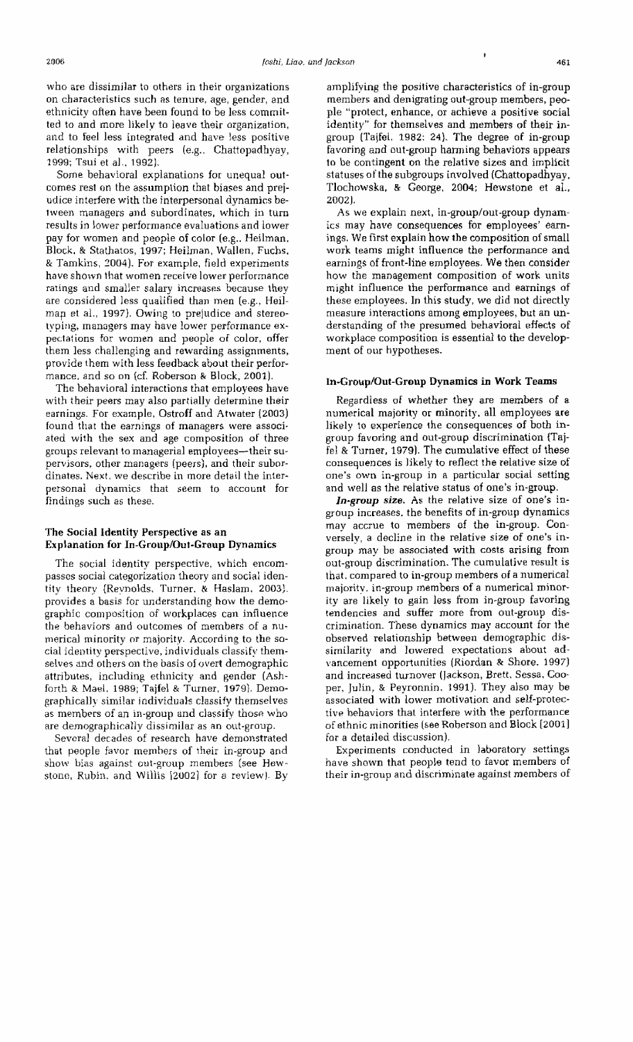who are dissimilar to others in their organizations on characteristics such as tenure, age, gender, and ethnicity often have been found to be less committed to and more **likelv** to leave their organization, and to feel less integrated and have !ess positive relationships with peers (e.g., Chattopadhyay, 1999; Tsui et al., 1992).

Some behavioral explanations for unequal outcomes rest **on** the assumption that biases and prejudice interfere with the interpersonal dynamics between managers and subordinates, which in turn results in lower performance evaluations and lower pay for women and people of color (e.g.. Heilman, Block. & Stathatos, 1997; Heilman, Wallen, Fuchs, & Tamkins, 2004). For example, field experiments have shown that women receive lower performance ratings and smaller salary increases because they are considered less qualified than men (e.g., Heilmap et al., 1997). Owing to prejudice and stereotyping, managers may have lower performance expectations for women and people of color, offer them less challenging and rewarding assignments, provide them with less feedback about their performance, and so on (cf. Roberson & Block, 2001).

The behavioral interactions that employees have with their pears may also partially determine their earnings. For example, Ostroff and **Atwater** (2003) found that the earnings of managers were associated with the **sex** and age composition **of** three groups relevant to managerial employees-their supervisors, other managers (peers), and their subnrdinates. Next, we describe in more detail the interpersonal dynamics that seem to account for Iindings such as these.

### **The Social Identity Perspective as an Explanation for In-GcouplOut-Group Dynamics**

The social identity perspective, which encompasses social categorization theory and sociai identity theory (Reynolds, Turner, & Haslam, 2003). provides a basis for understanding how the demographic composition of workplaces can influence the behaviors and outcomes of members of a numerical minority or majority. According to the social identity perspective, individuals classify themselves and others on the basis of overt demographic attributes, including ethnicity and gender (Ashforth & Mael, 1989; Tajfel & Turner, 1979). Demographicall? similar individuals classify themselves as **m~mbers** of an in-group and classify those who are demographically dissimilar as an out-group.

Sevcral decades of research have demonstratecl that people favor members of their in-group and show bias against out-group members (see Hewstone, Rubin. and Willis [2002] for a review). By amplifying the positive characteristics of in-group members and denigrating out-group members, people "protect, **enhance,** or achieve a positive social identity" for themselves and members of their ingroup (Tajfel, 1982: **24).** The degree of in-group favoring and out-group harming behaviors appears to be contingent on the relative **sizes** and implicit statuses of the subgroups involved (Chattopadhyay , Tlochowska, & George, 2004; Hewstone et al., ZOOZl.

As we explain next, in-group/out-group dynamics may have consequences for employees' earnings. We first explain how the composition of small work teams might influence the performance and earnings of front-line employees. **We** then consider how the management composition of work units might influence the performance and earnings of these employees. In this study, we did not directly measure interactions among employees, but an understanding of the presumed behavioral effects of workplace composition is essential to the development of our hypotheses.

#### **In-Group/Out-Group Dynamics in Work Teams**

Regardless of whether they are members of a numerical majority or minority, all employees **are**  likely to experience the consequences of both **in**group favoring and out-group discrimination (Tajfel & **Turner, 19791.** The cumulative **effect** of these consequences is likelv to reflect the relative size of one's own in-group in a particular social setting and well as the relative status of one's in-group.

*In-group* **size. As** the **relative** size of one's **in**group increases, the benefits of in-group dynamics may accrue to members of the in-group. Conversely, a decline in the relative size of one's ingroup may be associated with costs arising from out-group discrimination. The cumulative result is that, compared to in-group members of a numerical majoritv, in-group **members** of **a** numerical minority are likely to gain less from in-group favoring tendencies and suffer more from out-group discrimination. These dynamics may account for **the**  observed relationship **between** demographic **djs**similarity and lowered expectations about **ad**vancement opportunities (Riordan & Shore. 1997) and increased turnover (Jackson, Brett, Sessa. Cooper, Julin, & Peyronnin. 1991). They also may be associated with lower motivation and self-protective behaviors that interfere with the performance of ethnic minorities (see Roherson and Block **[2001]**  for a detailed discussion).

Experiments conducted in laboratory settings have shown that people tend to favor members of their in-group and discriminate against members of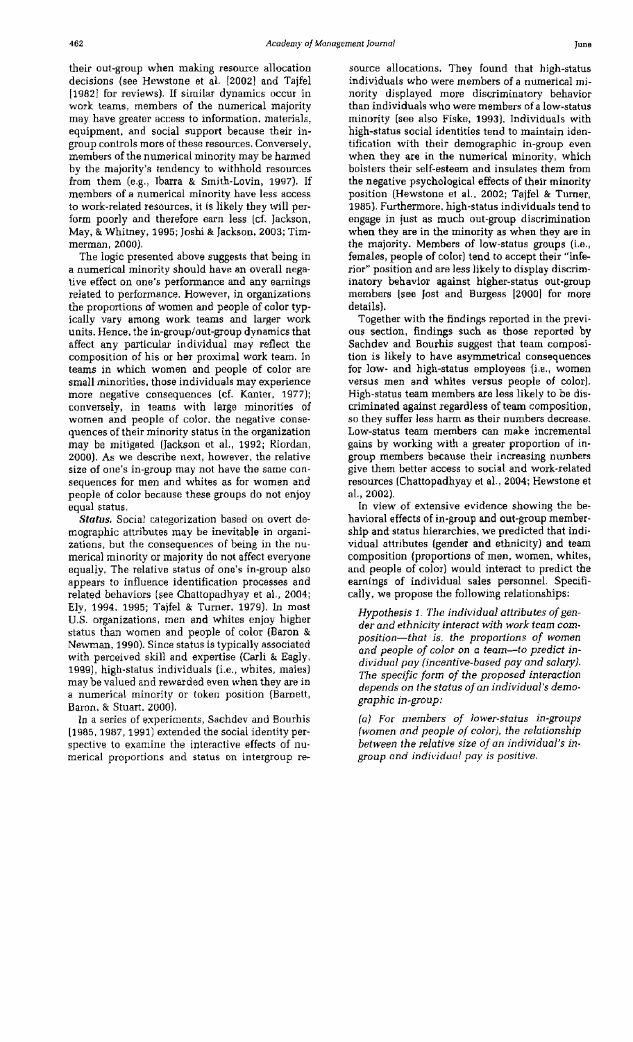their out-group when making resource allocation decisions (see Hewstone et al. 120021 **and** Tajfel [1982] for reviews). If similar dynamics occur in work **learns,** members of the numerical majority may have **greater** access **to** information. materials, equipment, and social support because their ingroup controls more of these resources. **Conversely,**  members of the numerical minority may be harmed by the majority's tendency to withhold resources from them (e.g., Ibarra & Smith-Lovin, 1997). If members of a numerical minority have **less** access **to work-related resources, it is** likely they will perform poorly and therefore earn less (cf. Jackson, **May,** & Whitney, 1995; Joshi & Jackson, 2003; Timmerman, 2000),

The logic presented above suggests that being in a numerical minority should have an overall negative effect on one's performance and any earnings related to performance. However, in organizations the proportions of women and people of color **typ**ically **vary** among work teams and larger **work**  units. Hence, the in-group/out-group dynamics that affect **any** particular individual may reflect the composition of his or her proximal **work** team. In teams in which women and people of color are **small** minorities, those individuals may **experience**  more negative consequences **[cf.** Kanter, 1977); conversely, in teams with large minorities of **women** and people of color. the negative **conse**quences of their minority **status** in the organization may be mitigated Uackson et al., 1992; Riordan, **2000). As we** describe next, however, the relative size of one's in-group may not have the same con**sequences** for men and **whites** as for women and people of color because these groups do not enjoy equal status.

**Status.** Social categorization based on overt demographic attributes **may** be inevitable **in argani**zations, but the **consequences** of being in the numerical minority or majority do not affect everyone equally, The relative **status** of one's in-group also appears *to* influence identification processes and related behaviors **[see** Chattopadhyay et a]., 2004; Elv, **1994, 1995;** Tajfel \$ **Turner,** 1979). In most U.S. organizations, men and whites enjoy higher status than women and people of color (Baron & Newman, 1990). Since status is typicallv associated with perceived skill and expertise **(Carli** & Eagly, 1999), high-status individuals (i.e., whites, males) may be valued and rewarded even when they are in a numerical minority or token position (Barnett, Baron, & Stuart. 2000).

**In** a series of experiments, Sachdev and Bourhis (a) *For members* **of** *lo wer-status in-groups*  **(1985,1937,** 1991) extended the social identity per- [women and *people* o *j color), the relationship*  spective to examine the interactive effects of nu-<br> *merical* proportions and status on intergroup re-<br> *group and individual pay is positive*. merical proportions and status on intergroup re-

source allocations. They found that high-status individuals who were members of a numerical minority displayed **more** discriminatory behavior than individuals who were members of a **low-status**  minority **[see also** Fiske, **1993).** Individuals with high-status social identj ties tend to **maintain** iden**tification** with **their demographic** in-group even when they are in **the** numerical minority, which bolsters their **self-esteem** and insulates them born the negative psychological **effects** of their minority position (Hewstone et al.. 2002; Tajfel & Turner, 1985). Furthermore, high-status individuals tend to **engage** in just as much **out-group** discrimination **when they are** in the minority as when they **are** in the majority. Members of low-status groups (i.e., females, people of color) tend to accept their **"infe**rior'' **position and are less** likely to display discriminatory **behavior against** higher-status out-group members **[see** lost **and Burgess** [ZOO01 for **more**  details).

Together with the **findings** reported in the previous section, **findings** such **as those** reported by **Sachdev** and Bourhis suggest that team composition is **likely** to **have** asymmetrical consequences for low- and high-status employees (i.e., women versus men and **whites versus** people of color]. High-status team members are less likely to be **dis**criminated against regardless of **team** composition, so they **suffer** *less* harm as their numbers decrease. Low-status team members **can** make incremental **gains** by working with a greater proportion of ingroup members because their increasing numbers *give* them better **access to social and** work-related resources (Chattopadhyay et a]., **2004;** Hewstone et al., 2002).

In view of **extensive evidence** showing the behavioral effects of in-group **and out-group** membership and status hierarchies, we **predicted** that individual **attributes (gender and ethnicity) and team**  composition **(proportions** of men, wornen, **whites, and people of color)** would interact **to** predict the **earnings** of individual **sales** personnel. Specifically, **we propose** the following relationships:

**Hypothesis** 1. *The* **individual affributes of** *gen*der **and** *ethniciv* interact with **work** team *com*position-that is, *the propofions* **of** *women*  and *people* **of** color **on** a team-to *predict* in**dividual** *pay* (incentive-bused pay and *salary). The specific* form of *the proposed intemcfion depends on the status of an individual's demo*graphic *in-gro up:*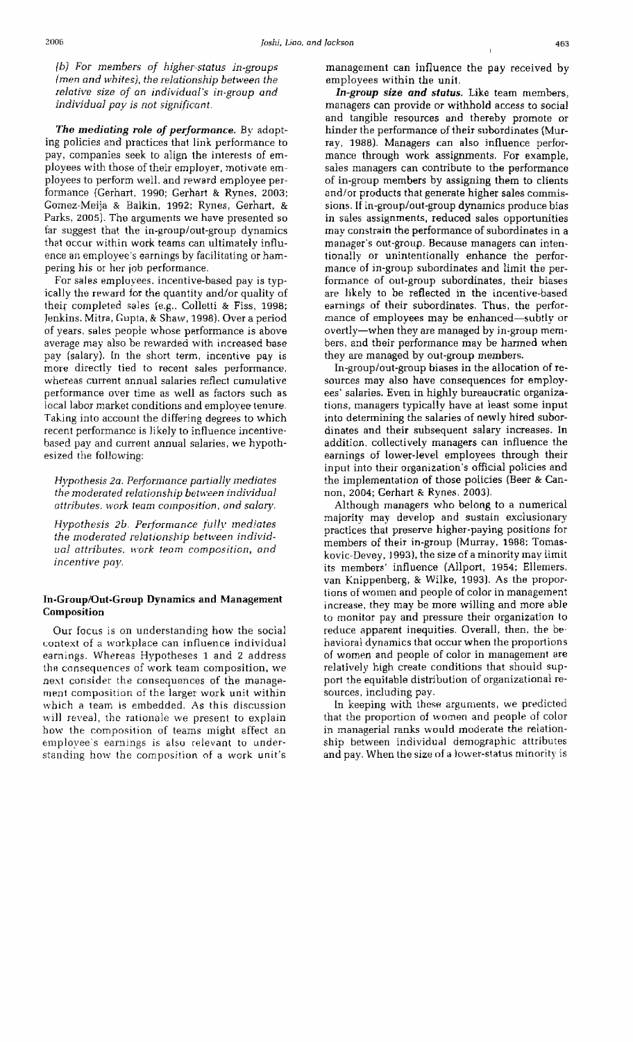(b) For members of higher-status in-groups (men and whites), the relationship between the relative size of an individual's in-group and individual pay is not significant.

The mediating role of performance. By adopting policies and practices that link performance to pay, companies seek to align the interests of employees with those of their employer, motivate employees to perform well, and reward employee performance (Gerhart, 1990; Gerhart & Rynes, 2003; Gomez-Meija & Balkin, 1992; Rynes, Gerhart, & Parks, 2005). The arguments we have presented so far suggest that the in-group/out-group dynamics that occur within work teams can ultimately influence an employee's earnings by facilitating or hampering his or her job performance.

For sales employees, incentive-based pay is typically the reward for the quantity and/or quality of their completed sales (e.g., Colletti & Fiss, 1998; Jenkins, Mitra, Gupta, & Shaw, 1998). Over a period of years, sales people whose performance is above average may also be rewarded with increased base pay (salary). In the short term, incentive pay is more directly tied to recent sales performance, whereas current annual salaries reflect cumulative performance over time as well as factors such as local labor market conditions and employee tenure. Taking into account the differing degrees to which recent performance is likely to influence incentivebased pay and current annual salaries, we hypothesized the following:

Hypothesis 2a. Performance partially mediates the moderated relationship between individual attributes, work team composition, and salary.

Hypothesis 2b. Performance fully mediates the moderated relationship between individual attributes, work team composition, and incentive pay.

# In-Group/Out-Group Dynamics and Management Composition

Our focus is on understanding how the social context of a workplace can influence individual earnings. Whereas Hypotheses 1 and 2 address the consequences of work team composition, we next consider the consequences of the management composition of the larger work unit within which a team is embedded. As this discussion will reveal, the rationale we present to explain how the composition of teams might affect an employee's earnings is also relevant to understanding how the composition of a work unit's

management can influence the pay received by employees within the unit.

In-group size and status. Like team members, managers can provide or withhold access to social and tangible resources and thereby promote or hinder the performance of their subordinates (Murray, 1988). Managers can also influence performance through work assignments. For example, sales managers can contribute to the performance of in-group members by assigning them to clients and/or products that generate higher sales commissions. If in-group/out-group dynamics produce bias in sales assignments, reduced sales opportunities may constrain the performance of subordinates in a manager's out-group. Because managers can intentionally or unintentionally enhance the performance of in-group subordinates and limit the performance of out-group subordinates, their biases are likely to be reflected in the incentive-based earnings of their subordinates. Thus, the performance of employees may be enhanced—subtly or overtly—when they are managed by in-group members, and their performance may be harmed when they are managed by out-group members.

In-group/out-group biases in the allocation of resources may also have consequences for employees' salaries. Even in highly bureaucratic organizations, managers typically have at least some input into determining the salaries of newly hired subordinates and their subsequent salary increases. In addition, collectively managers can influence the earnings of lower-level employees through their input into their organization's official policies and the implementation of those policies (Beer & Cannon, 2004; Gerhart & Rynes, 2003).

Although managers who belong to a numerical majority may develop and sustain exclusionary practices that preserve higher-paying positions for members of their in-group (Murray, 1988; Tomaskovic-Devey, 1993), the size of a minority may limit its members' influence (Allport, 1954; Ellemers, van Knippenberg, & Wilke, 1993). As the proportions of women and people of color in management increase, they may be more willing and more able to monitor pay and pressure their organization to reduce apparent inequities. Overall, then, the behavioral dynamics that occur when the proportions of women and people of color in management are relatively high create conditions that should support the equitable distribution of organizational resources, including pay.

In keeping with these arguments, we predicted that the proportion of women and people of color in managerial ranks would moderate the relationship between individual demographic attributes and pay. When the size of a lower-status minority is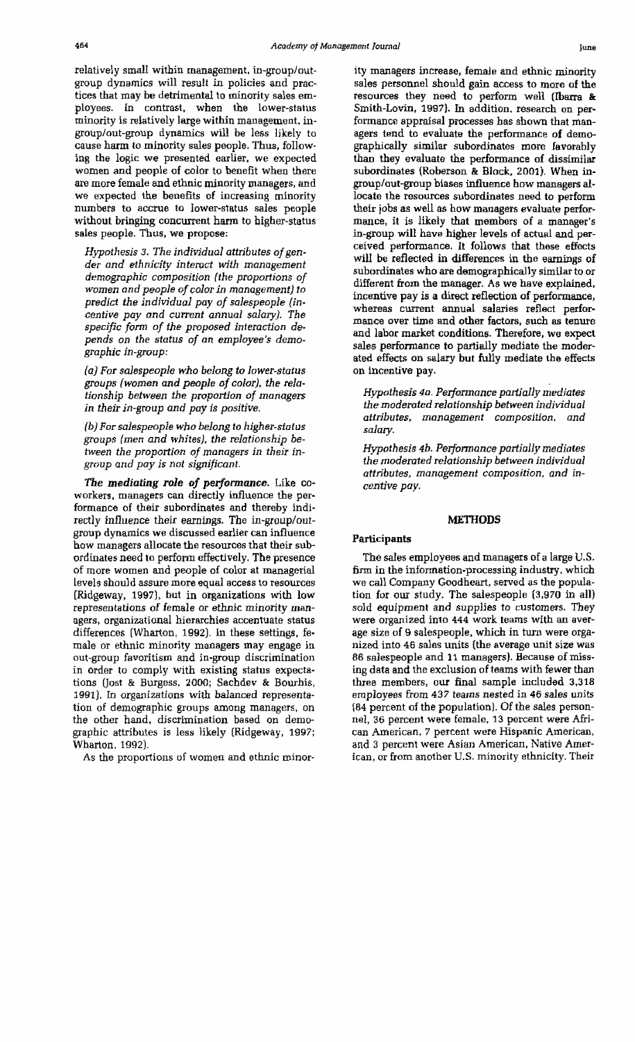**relatively** small **within management,** in-grouplout**group** dynamics will **result in policies and practices that may be detrimental** to **minority sales** em**ployees. In** contrast, **when the lower-status minority is relatively large within management, ingrouplout-group dynamics will be less likely to cause** ham **to minority sales people. Thus, foIlowing the logic we presented earlier, we expected**  women **and people of color to benefit when there are** more **female** and **ethnic minority managers, and we expected the benefits of increasing minority numbers to accrue to lower-ststus sales people without bringing concurrent** harm **to higher-status sales people. Thus, we propose:** 

*Hypothesis* **3.** *The* **individual** *attributes* ofgen*der and ethnicity interact with management demographic composition* **(the** *proportions* **of**  *women and people* **of** *color* **in** *management) to predict the* individual **pay** of *salespeople* **(in***centive pay* **and** *current annual salary].* **The**  specific form of the proposed interaction de*pends* **on** *the* **status of an** *employee's demographic in-group* :

*la] For salespeople who belong* **to** *lo wer-status groups [women* **and** *people* of *color),* **the** *relationship* **between the** *pmpom'on* **of** *managers*  **in their** *in-group and pay* **is** positive.

*(b]* For *salespeople* **who** *belong* **to** *higher-sta* **t us**  *groups* **(men** *and whites], the relationship between the proportion* **of** *managers* **in** *their* in*group and* **pay is not** *signgicant.* 

*The mediating role* **of** *performance.* Like co**workers.** managers **can directly influence the performance of their subordinates and thereby indi**rectly influence their earnings. The in-group/outgroup **dynamics we discussed earlier can influence how** managers **allocate the resources that** their **subordinates need to perform effectively.** The **presence**  of more women **and people of** color **at managerial levels should assure** more **equal access** to **resources [Ridgeway, 1997), but** in **organizations** with **low**  representations of **female** or ethnic **minority managers, organizational hierarchies accentuate status differences (Wharton, 1992). In these** settings, **female or ethnic minority managers may engage in**  out-group **favoritism and in-group discriminatior~ in** order **to comply with existing status** *expecta***tions (Jost** & Burgess, **2000; Sachdev** & **Bourhis, 1992].** In organizations with **balanced representa**tion of demographic **groups among managers, on the other hand, discrimination** based **on demo**graphic **attributes** is **less likely (Ridgeway, 1997;**  Wharton, **1992).** 

**As** the proportions of women **and** ethnic **minor-**

ity managars **increase, female and ethnic minority sales personnel should gain access to more of the**  resources they need to perform well (Ibarra & **Smith-Lovin, 1997). In** addition. **research on per**formance **appraisal processes** bas **shown that man**agers tend to evaluate the performance of demo**graphically similar subordinates** more **favorably than they evaluate the performance of dissimilar subordinates (Roberson** & **Block, 2 001). When ingrouplout-group biases influence how managers allocate the resources subordinates need to perform their jobs as well as** how **managers evaluate perfor**mance, **it is likely** that **members of a manager's in-group** will **have higher levels of actud and perceived performance. It follows that these effects will be reflected** in **differences** in **the earnbgs of subordinates who are demographically similar to** or different **from the** manager. **As** we **have explained,**  incentive pay is a direct reflection of performance, whereas **current annual salaries reflect performance over time** and **other factors, such as tenure and** labor **market conditions. Therefore, we expect**  sales performance to partially mediate the moder**ated effects on salary but fully mediate the effects on incentive pay.** 

*Hypothesis* **40.** *Peqfumance partially mediates*  the *moderated relationship between* individual *attributes. management composition, and salary.* 

**Hypothesis** *4b. Performance parfiolly mediates the* **moderated** *relationship between individual attributes, management composition, and* **incentive pav.** 

#### **METHODS**

#### **Participants**

The **sales employees and** managers of **a** large **U.S.**  *6rm* **in the information-processing industry, which we call Company Goodheart, served as** the **popula**tion **for** our study. The **salespeople (3,970 in all)**  sold **equipment** and **supplies to** customers. **They were organized into 444 work teams** with **an average** size **of 9 salespeopIe, which** in turn **were orga**nized **into 46 sdes units [the average unit size was 86 salespeople** and **11 managers). Because of missing data and** the **exclusion of** *teams* **with fewer** than **three** members, **our final sample** included **3,318**  employees fiom **437 teams nested in 46 sales** units **I84 percent of the population].** Of **the sdes person**nel, 36 **percent were female, 13 percent were African American,** 7 **percent were Hispanic American,**  and **3 percent were Asian American,** Native **Amer**ican, **or** from another **U.S.** minority ethnicity. Their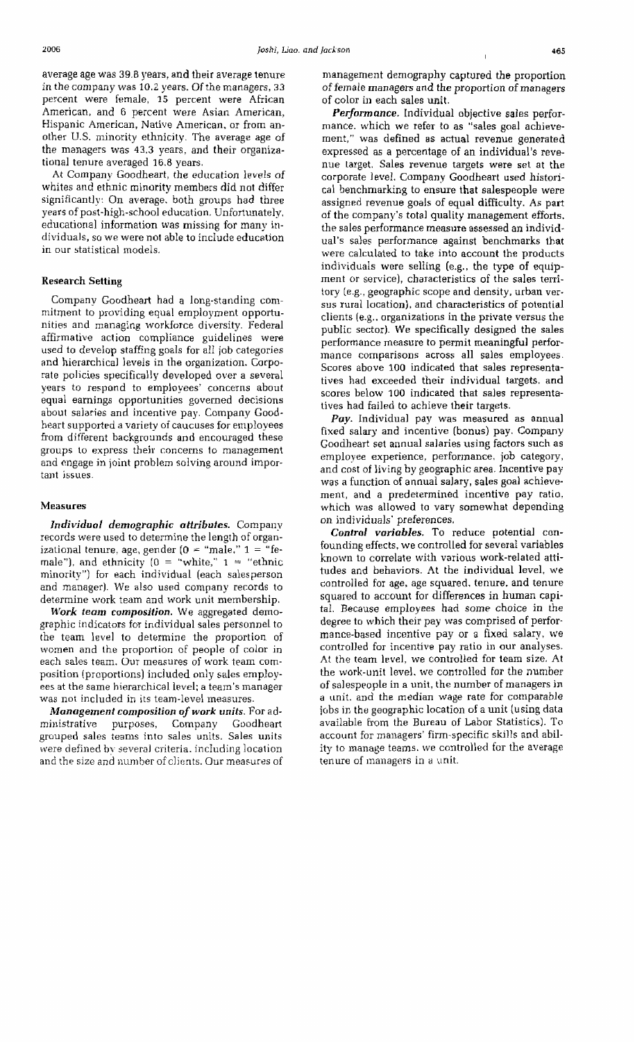average age was 39.8 years, and their average tenure in the company was 10.2 years. Of the managers, 33 percent were female, 15 percent were African American, and 6 percent were Asian American, Hispanic American, Native American. or from another U.S. minority ethnicjty. The average **age** of the managers was **43.3** years, and their organizational tenure averaged 16.8 years.

**At** Companv Goodheart, the education levels nf whites and ethnic minority members did not differ significantly: On average. both groups had three years of post-high-school education. Unfortunatelv, educational information was missing for many individuals, su we were not able to include education in our statistical models.

#### **Research Setting**

Company Goodheart had a long-standing commitwent to providing equal employment opportunities and managing workforce diversity. Federal affirmative action compliance guidelines were used to develop staffing goals for all job categories and hierarchical levels in the organization. Corporate policies specifically developed over a **several**  years to respond to employees' concerns about equal earnings opportunities governed decisions about salaries and incentive pay. Company Goodheart supported a variety of caucuses for employees from different backgrounds and encouraged these groups lo express their concerns to management and engage in joint problem solving around important issues.

#### **Measures**

*Jndividuol demographic* **attributes.** Company records were used to determine the length af organizational tenure, age, gender  $(0 - \text{ "male." } 1 - \text{ "fe-})$ male"). and ethnicity  $[0 = "white," 1 = "ethnic"$ minority"] for each individual (each salesperson and manager). We also used company records to determine work team and work unit membership.

*U70rk team* **composition.** We aggregated demographic indicators for individual sales personnel to the team level to determine the proportion of women and the proportion of people of color in each sales team. Unr measures of work team composition (proportions) included only sales employees at the same hierarchical level; a team's manager was not included in its team-level measures.

*Management composition* of **work units.** For administrative purposes, Company Goodheart **grcruped** sales teams into sales units. Sales units were defined by several criteria. including location and the size and number of clients. Our measures of management demography captured the proportion **of female** managers and the proportion of managers of color in **each** sales unit.

*Performance.* Individual objective sales performance. which we refer to as "sales goal achievement," **was** defined as actual **revenue** generated expressed as a percentage of an individual's revenue target. Sales **revenue** targets **were** set at the corporate I *evel.* Company Goodheart **used** historical benchmarking to **ensure** that salespeople were assigned revenue goals of equal difficulty. **As** part of the company's total quality management efforts. the sales **performance** measure assessed an individual's sales performance against benchmarks that were calculated to **take** into account the products individuals wcre selling [e.g., the type of equipment or service), characteristics of the **saIes terri**tory le.g., **geographic** scope and density, urban versus rural location), and characteristics of potential clients **(e.g.,** organizations in the private versus the public sector). We specifically designed the sales performance measure to **permit** meaningful **perfor**mance comparisons across all sales employees. Scares above **100** indicated that sales representatives hacl exceeded their individual **targets,** and scores below 100 indicated that sales **representa**tives had failed to achieve their targets.

*Puy.* Individual pay **was** measured **as** annual fixed salary and incentive (bonus) pay. Company Goodheart set annual salaries **using** factors such as employee experience, performance, job category, and cost of living by geographic area. Incentive pay was a function of annual salary, sales **goal** achievement, and a prederermined incentive pay ratio. which was allowed to **vary** somewhat depending on individuals' preferences.

*Conirol variables.* To reduce potential canfounding effects, we controlled for **several** variables known to correlate with various work-related attitudes and behaviors. At the individual level, **we**  controlled for **age,** age squared, tenure, and tenure squared to account for differences in human capital. Because employees had some choice in the degree to which their pay was comprised of performance-based incentive pay or a fixed salary, we controlled for incentive **pay** ratio in our analyses. At the team level, we controlled for team size. At the work-unit level. we controlled for the number of salesp~ople in a unit, **the** number of managers **in**  a unit. and **the** median **wage** rate for comparable jobs in the geographic location of a unit (using data available horn the Bureau of Labor Statistics). To account for managers' firm-specific skills and ability to manage teams. **ive** controlled fur the average tenure of managers in a unit.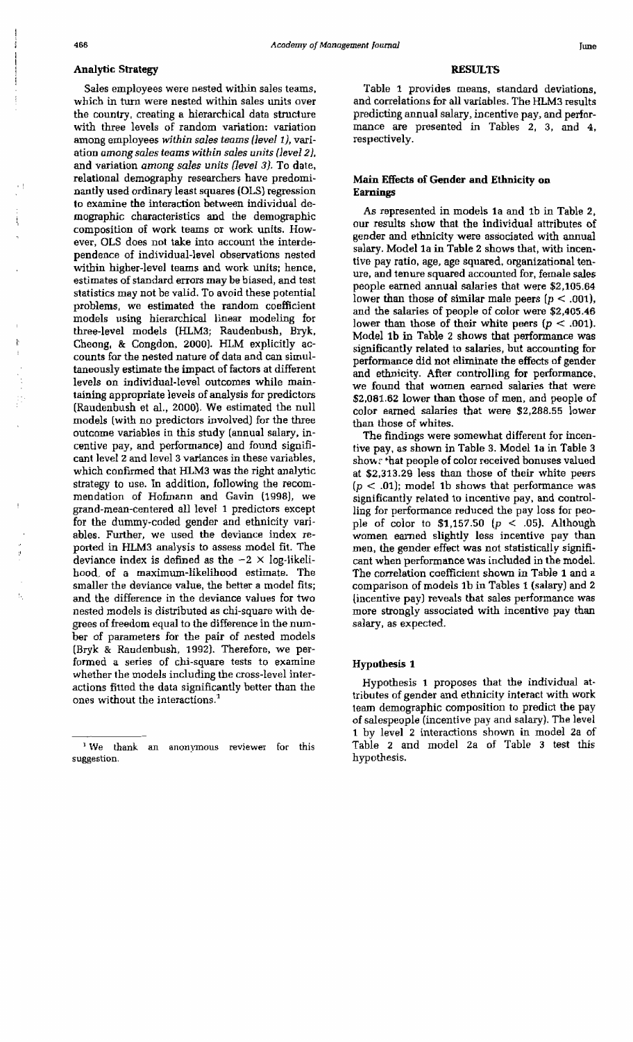# **Analytic Strategy**

*Sales* **employees were nested within sales teams, which in turn were nested within sales units aver the country,** creating **a hierarchical** data **structure with three levels of random variation: variation among employees within** *soles teams (level I),* **variation** *among* **sales** *teams within sales* **units** (level **21, and variation** *among sales* **units** *(level* **3). To date, relational demography researchers have predominantly used ordinary least squares** (OLS) **regression to examine the interaction between individual** de**mographic characteristics** and **the demographic composition of work teams or work units. However, OLS does not take into account the interdepend ence of individual-level observations nested within higher-level teams and work units; hence, estimates of** standard **errors may be biased, and test statistics may not be valid, To avoid these potential problems, we estimated the random coefficient models using hierarchical linear modeling for three-level models** (HLM3; **Raudenbush, Bryk,**  Cheong, & Congdon, 2000). HLM explicitly ac**counts for** the **nested nature of data and can simultaneously estimate the impact of factors at different levels on individual-Ievel outcomes while maintaining appropriate levels of analysis for predictors**  (Raudenbush **et al., 2000). We estimated the** null **models [with no predictors involved] for the three outcome variables in this study (annual salary, incentive pay, and performance) and found significant level 2 and level 3 variances in these variables,**  which **confirmed that** HLM3 **was the right analytic**  strategy to use. In addition, following the recommendation **of** Hohann **and Gavin [1998], we grand-mean-centered all level 1** predictors **except for the** dummy-coded **gender and ethnicity variables. Further, we used** the **deviance index reported in HLM3 analysis to assess model fit. The**  deviance index is defined as the  $-2 \times \log$ -likeli**hood.. of a maximum-likelihood estimate. The smaller the deviance value,** the **better a model fits; and the difference** in the **deviance values for two nested models is distributed as chi-square with** de**grees of freedom equal to the difference in the number of parameters for the pair of nested models [Bryk** & **Raudenbush, 1992). Therefore, we performed a series of chi-square tests to examine whether the** models **including the cross-level interactions fitted** the **data significantly better** than **the ones without** the interactions.'

#### **RESULTS**

**Table 1 provides means, standard deviations, and correlations for all variables. The HLM3 results predicting annual salary, incentive pay,** and **perfnrmace are presented in Tables 2, 3, and 4, respectively.** 

#### **Main Effects of Gender and Ethnicity on Earnings**

**As represented in models** la and Ib in **Table 2, our results show that the individual attributes of gender and** ethnicity **were associated with annual salary. Model la in Table 2 shows that, with** incen**tive pay ratio, age, age squared, organizational ten**ure, **and tenure squared accounted for, fernale sales people earned annual salaries that were \$2,105.64**  lower **than** those of similar male peers  $(p < .001)$ , and **the salaries of people of color were \$2,405.46**  lower than those of their white peers  $(p < .001)$ . Model **Ib in** Table **2 shows that performance was significantly related to salaries, but accounting for performance** did **not eliminate the effects of gender**  and ethnicity. After controlling for performance. we found **that women earned salaries that were \$2,081.62 lower** than **those of men,** and **people of color earned salaries that were \$2,288.55 lower**  than **those of whites.** 

**The findings were somewhat different for incentive pay, as shown in Table 3. Model la** in **Table 3 show: +hat people of color received bonuses valued**  at **\$2,313.29 less** than **those of their white peers**   $(p < .01)$ ; model 1b shows that performance was **significantly related to incentive pay, and controlling for performance reduced** the **pay loss** for **people of** color to **\$1,157.50** *(p* < **.05). Although women earned slightly less incentive pay than men, the gender effect was** not **statisticaily** significant **when** performance **was included** id **the model. The correlation coefficient shown in Table 1** and **a comparison** of **models lb** in **Tables** I **(salary]** and **<sup>2</sup> [incentive pay] reveals that sales performance was more strongly associated with incentive pay than**  *salary,* **as expected.** 

### Hypothesis 1

**Hypothesis 1 proposes that the individual** at**tributes of gender and ethnicity interact with work team demographic composition to predict the pay of salespeople** (incentive **pay** and **salary). The level 1 by level 2 interactions shown** in model **2a** of Table **2 and model** 2a of Table **3 test this hypothesis.** 

<sup>&#</sup>x27;We **thank an** anonymous **reviewer for this suggeskion.**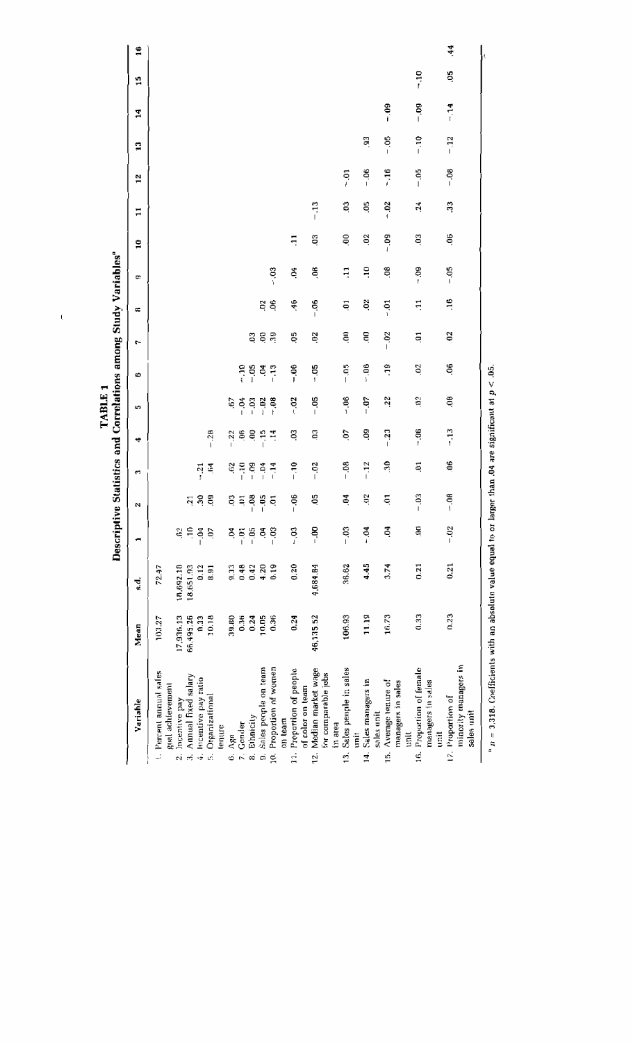|                                                                                                                    |           |           | <b>Descriptive</b> |                | Statistics and        |                                | TABLE <sub>1</sub> | Correlations among Study Variables" |              |                |               |                |                |               |               |              |              |                |
|--------------------------------------------------------------------------------------------------------------------|-----------|-----------|--------------------|----------------|-----------------------|--------------------------------|--------------------|-------------------------------------|--------------|----------------|---------------|----------------|----------------|---------------|---------------|--------------|--------------|----------------|
| Variable                                                                                                           | Mean      | <u>न्</u> | ↤                  | N              | M                     | 4                              | U)                 | Ф                                   | Þ            | $\equiv$       | Ç.            | $\overline{a}$ | $\overline{1}$ | 싑             | $\mathbf{r}$  | $\mathbf{1}$ | $\mathbf{r}$ | $\frac{6}{16}$ |
| 1. Percent annual sales<br>goal achievement                                                                        | 103.27    | 72.47     |                    |                |                       |                                |                    |                                     |              |                |               |                |                |               |               |              |              |                |
| Incentive pay<br>$\ddot{\sim}$                                                                                     | 17,936.13 | 18,692.18 | ą                  |                |                       |                                |                    |                                     |              |                |               |                |                |               |               |              |              |                |
| Annual fixed salary<br>$\frac{1}{\sqrt{2}}$                                                                        | 66,495.26 | 18,651.93 | $\Xi$              | $\ddot{q}$     |                       |                                |                    |                                     |              |                |               |                |                |               |               |              |              |                |
| Incentive pay ratio<br>$\frac{1}{2}$                                                                               | 0.33      | 0.12      | $-04$              | $30^{\circ}$   | $\frac{21}{2}$        |                                |                    |                                     |              |                |               |                |                |               |               |              |              |                |
| Organizational<br>$\vec{r}$                                                                                        | 10.18     | 8.91      | Ģ                  | g              | $\Xi$                 | $-28$                          |                    |                                     |              |                |               |                |                |               |               |              |              |                |
| tenure                                                                                                             |           |           |                    |                |                       |                                |                    |                                     |              |                |               |                |                |               |               |              |              |                |
| Age<br>نہ ن                                                                                                        | 39.80     | 0.13      | Š                  | ę,             | $\frac{8}{2}$         | $-22$                          | G.                 |                                     |              |                |               |                |                |               |               |              |              |                |
| Gender                                                                                                             | 0.36      | 0.48      | $-0$               | Ę              | $-10$                 | S                              | $-0.4$             | $\frac{1}{2}$                       |              |                |               |                |                |               |               |              |              |                |
| <b>Ethnicity</b><br>$\approx$                                                                                      | 0.24      | 0.42      | $-05$              | $-08$          | $-09$                 | ŝ                              | $-03$              | ី<br>-                              | $\mathbf{S}$ |                |               |                |                |               |               |              |              |                |
| Sales people on team<br>d,                                                                                         | 10.05     | 4.20      | ą                  | $-0.5$         | $-04$                 | $-15$                          | $-0.2$             | PQ.                                 | g            | $\Xi$          |               |                |                |               |               |              |              |                |
| Proportion of women<br>g                                                                                           | 0.36      | 0.19      | $-0.3$             | $\ddot{a}$     | $-14$                 | $\mathbb{I}$                   | $-0.6$             | $\frac{1}{2}$                       | $\mathbb{R}$ | $\mathfrak{S}$ | $-03$         |                |                |               |               |              |              |                |
| on team                                                                                                            |           |           |                    |                |                       |                                |                    |                                     |              |                |               |                |                |               |               |              |              |                |
| Proportion of people<br>of color on team<br>$\frac{1}{2}$                                                          | 0.24      | 0.20      | $-0.3$             | 90 -           | $\frac{1}{2}$         | S                              | $-0.2$             | $-0.06$                             | ę.           | 46             | Š             | $\overline{1}$ |                |               |               |              |              |                |
| Median market wage<br>for comparable jobs<br>έ,                                                                    | 46,135.52 | 4,684.84  | $-00$              | ë              | $-0.2$                | g                              | $-0.5$             | - 05                                | S.           | $-06$          | æ.            | S.             | $-13$          |               |               |              |              |                |
| in area                                                                                                            |           |           |                    |                |                       |                                |                    |                                     |              |                |               |                |                |               |               |              |              |                |
| Sales penple in sales<br>İ<br>Ë,                                                                                   | 106.93    | 36.62     | $\frac{5}{2}$      | ě              | $-08$                 | 50                             | $-0.06$            | $-0.5$                              | ŝ            | ē              | $\Xi$         | g              | $\mathbf{c}$   | $\frac{5}{1}$ |               |              |              |                |
| Sales managers in<br>14.                                                                                           | 11.19     | 4.45      | $-0.4$             | $\mathbf{S}$   | $-12$                 | g                              | $-0.7$             | $-06$                               | g            | $\rm ^{2}$     | $\Xi$         | $\tilde{c}$    | Θ.             | $-06$         | G,            |              |              |                |
| sales unit                                                                                                         |           |           |                    |                |                       |                                |                    |                                     |              |                |               |                |                |               |               |              |              |                |
| Average tenure of<br>ļ5.                                                                                           | 16.73     | 3.74      | Š                  | $\overline{a}$ | $\tilde{\mathcal{E}}$ | $\mathbf{z}$<br>$\overline{1}$ | 22                 | $\frac{0}{1}$                       | $-0.2$       | $-0.1$         | ë             | $-0.9$         | $-0.2$         | $-16$         | - 05          | $-0.9$       |              |                |
| managers in sales<br>inut                                                                                          |           |           |                    |                |                       |                                |                    |                                     |              |                |               |                |                |               |               |              |              |                |
| Proportion of female<br>g                                                                                          | 0.33      | 0.21      | g                  | $-0.3$         | S                     | $-0.06$                        | $\mathbb{S}^2$     | $\mathfrak{S}$                      | Ę            | Ę              | $-0.9$        | Ş              | Ñ              | $-0.5$        | $\frac{1}{2}$ | $-0.9$       | $-10$        |                |
| managers in sales<br>$\overline{1}$                                                                                |           |           |                    |                |                       |                                |                    |                                     |              |                |               |                |                |               |               |              |              |                |
| 17. Proportion of                                                                                                  | 0.23      | 0.21      | $-02$              | $-08$          | å                     | $\frac{1}{1}$                  | $\frac{3}{2}$      | S.                                  | $\mathbf{S}$ | $\frac{6}{10}$ | $\frac{1}{2}$ | ä              | $\mathbb{S}$   | $-08$         | $-12$         | $-14$        | ĕ            | $\frac{4}{4}$  |
| minority managers in<br>sales unit                                                                                 |           |           |                    |                |                       |                                |                    |                                     |              |                |               |                |                |               |               |              |              |                |
| $\degree$ n = 1,319. Coefficients with an absolute value equal to or larger than .04 are significant at $p < 05$ . |           |           |                    |                |                       |                                |                    |                                     |              |                |               |                |                |               |               |              |              |                |

 $\hat{\vec{V}}$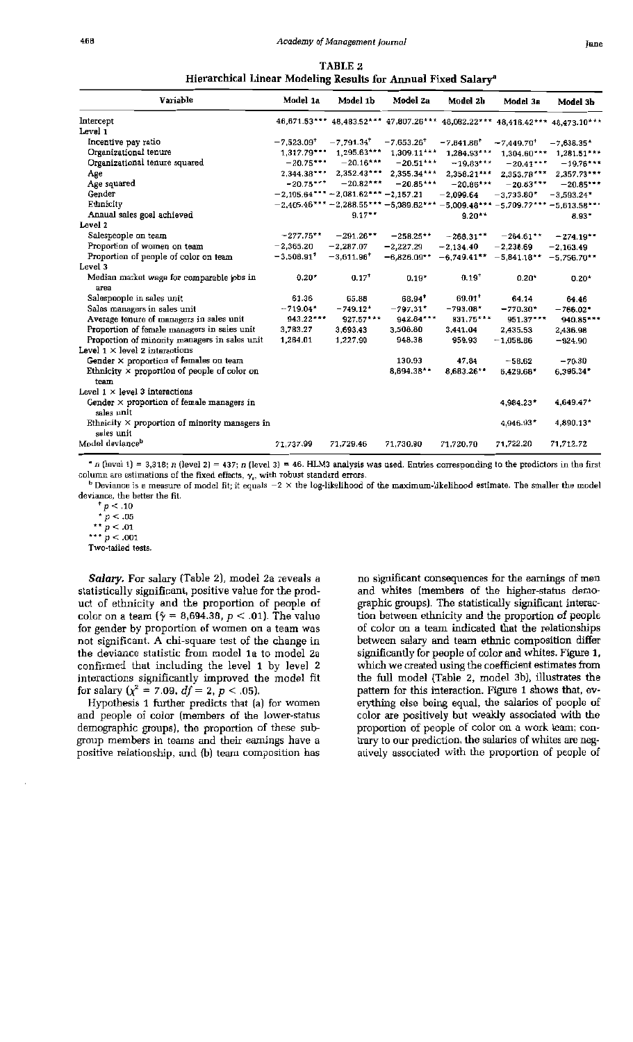# TABLE<sub>2</sub> Hierarchical Linear Modeling Results for Annual Fixed Salary<sup>a</sup>

| Variable                                                            | Model 1a                            | Model 1b                 | Model 2a                                                                      | Model 2b                 | Model 3a                  | Model 3b                 |
|---------------------------------------------------------------------|-------------------------------------|--------------------------|-------------------------------------------------------------------------------|--------------------------|---------------------------|--------------------------|
| Intercept                                                           |                                     |                          | 46,671.53*** 48,483.52*** 47,807.26*** 48,082.22*** 48,416.42*** 48,473.10*** |                          |                           |                          |
| Level 1                                                             |                                     |                          |                                                                               |                          |                           |                          |
| Incentive pay ratio                                                 | $-7,523.09$ <sup>t</sup>            | $-7,791.34$ <sup>+</sup> | $-7,653.26$ <sup>+</sup>                                                      | $-7,841.86$ <sup>+</sup> | $-7,449.79$ <sup>+</sup>  | $-7,638.35*$             |
| Organizational tenure                                               | $1,317.79$ ***                      | $1,295.63***$            | $1,309.11***$                                                                 | 1,284.93***              | $1,304.60***$             | 1,281.51***              |
| Organizational tenure squared                                       | $-20.75***$                         | $-20.16***$              | $-20.51***$                                                                   | $-19.83***$              | $-20.43***$               | $-19.76$ ***             |
| Age                                                                 |                                     |                          | $2,344.38***$ $2,352.43***$ $2,355.34***$                                     | 2,358.21***              | $2,353.78***$             | 2,357,73***              |
| Age squared                                                         | $-20.75***$                         | $-20.82***$              | $-20.85***$                                                                   | $-20.86***$              | $-20.83***$               | $-20.85***$              |
| Gender                                                              | $-2,105.64***-2,081.62***-2,157.21$ |                          |                                                                               | $-2,099.64$              | $-3,733.80*$              | $-3.593.24$ <sup>*</sup> |
| Ethnicity                                                           |                                     |                          | $-2,405.46***-2,288.55***-5,089.62***-5,009.48***-5,709.77***-5,613.58***$    |                          |                           |                          |
| Annual sales goal achieved                                          |                                     | $9.17**$                 |                                                                               | $9.20**$                 |                           | $8.93*$                  |
| Level 2                                                             |                                     |                          |                                                                               |                          |                           |                          |
| Salespeople on team                                                 | $-277.75**$                         | $-291.26**$              | $-258.25**$                                                                   | $-268.31**$              | $-264.61**$               | $-274.19**$              |
| Proportion of women on team                                         | $-2,365.20$                         | $-2,287.07$              | $-2,227.29$                                                                   | $-2,134,40$              | $-2,238.69$               | $-2,163.49$              |
| Proportion of people of color on team                               | $-3,508.91$ <sup>+</sup>            | $-3,611.96$ <sup>+</sup> | $-6.826.09**$                                                                 | $-6,749.41**$            | $-5,841.18**$ -5,756.70** |                          |
| Level 3                                                             |                                     |                          |                                                                               |                          |                           |                          |
| Median market wage for comparable jobs in<br>area                   | $0.20*$                             | $0.17^{+}$               | $0.19*$                                                                       | $0.19^{+}$               | $0.20*$                   | $0.20*$                  |
| Salespeople in sales unit                                           | 61.36                               | 65.88                    | $68.94^+$                                                                     | $69.01$ <sup>+</sup>     | 64.14                     | 64.46                    |
| Sales managers in sales unit                                        | $-719.04*$                          | $-749.12*$               | $-797.31$ *                                                                   | $-793.08*$               | $-770.30*$                | $-766.02*$               |
| Average tenure of managers in sales unit                            | 943.22***                           | 927.57***                | 942.84***                                                                     | 931.75***                | 951.37***                 | 940.85***                |
| Proportion of female managers in sales unit                         | 3,783.27                            | 3,693.43                 | 3,508.80                                                                      | 3,441.04                 | 2,435.53                  | 2,436.98                 |
| Proportion of minority managers in sales unit                       | 1,264.01                            | 1,227.90                 | 948.38                                                                        | 959.93                   | $-1,058.86$               | $-924.90$                |
| Level $1 \times$ level 2 interactions                               |                                     |                          |                                                                               |                          |                           |                          |
| Gender $\times$ proportion of females on team                       |                                     |                          | 130.93                                                                        | 47.84                    | $-58.62$                  | $-70.30$                 |
| Ethnicity $\times$ proportion of people of color on<br>team         |                                     |                          | 8,694.38**                                                                    | 8,683.26**               | $6,429.68*$               | 6,396.34*                |
| Level $1 \times$ level 3 interactions                               |                                     |                          |                                                                               |                          |                           |                          |
| Gender $\times$ proportion of female managers in<br>sales unit      |                                     |                          |                                                                               |                          | 4.984.23*                 | $4.649.47*$              |
| Ethnicity $\times$ proportion of minority managers in<br>sales unit |                                     |                          |                                                                               |                          | 4,946.93*                 | 4,890.13*                |
| Model deviance <sup>b</sup>                                         | 71.737.99                           | 71,729.46                | 71,730.90                                                                     | 71,720,70                | 71,722.20                 | 71,712.72                |

n (level 1) = 3,318; n (level 2) = 437; n (level 3) = 46. HLM3 analysis was used. Entries corresponding to the predictors in the first column are estimations of the fixed effects,  $y_s$ , with robust standard errors.

 $^{\rm b}$  Deviance is a measure of model fit; it equals  $-2$   $\times$  the log-likelihood of the maximum-likelihood estimate. The smaller the model deviance, the better the fit.

 $^\dagger$   $p$   $<$  .10  $^\star$   $p$   $<$  .05

\*\*  $p < .00$ <br>\*\*  $p < .01$ <br>\*\*\*  $p < .001$ 

Two-tailed tests.

Salary. For salary (Table 2), model 2a reveals a statistically significant, positive value for the product of ethnicity and the proportion of people of color on a team ( $\hat{\gamma}$  = 8,694.38, p < .01). The value for gender by proportion of women on a team was not significant. A chi-square test of the change in the deviance statistic from model 1a to model 2a confirmed that including the level 1 by level 2 interactions significantly improved the model fit for salary ( $\chi^2$  = 7.09,  $df = 2$ ,  $p < .05$ ).

Hypothesis 1 further predicts that (a) for women and people of color (members of the lower-status demographic groups), the proportion of these subgroup members in teams and their earnings have a positive relationship, and (b) team composition has

no significant consequences for the earnings of men and whites (members of the higher-status demographic groups). The statistically significant interaction between ethnicity and the proportion of people of color on a team indicated that the relationships between salary and team ethnic composition differ significantly for people of color and whites. Figure 1, which we created using the coefficient estimates from the full model (Table 2, model 3b), illustrates the pattern for this interaction. Figure 1 shows that, everything else being equal, the salaries of people of color are positively but weakly associated with the proportion of people of color on a work team; contrary to our prediction, the salaries of whites are negatively associated with the proportion of people of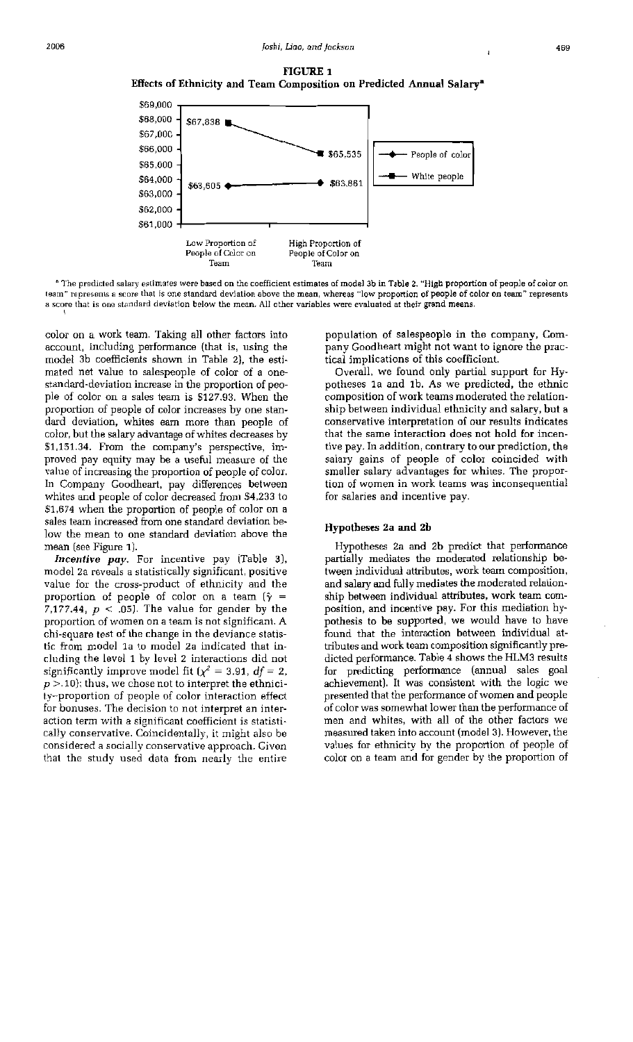

<sup>a</sup> The predicted salary estimates were based on the coefficient estimates of model 3b in Table 2. "High proportion of people of color on team" represents a score that is one standard deviation above the mean, whereas "low proportion of people of color on team" represents a score that is one standard deviation below the mean. All other variables were evaluated at their grand means.

color on a work team. Taking all other factors into account, including performance (that is, using the model 3b coefficients shown in Table 2), the estimated net value to salespeople of color of a onestandard-deviation increase in the proportion of people of color on a sales team is \$127.93. When the proportion of people of color increases by one standard deviation, whites earn more than people of color, but the salary advantage of whites decreases by \$1,151.34. From the company's perspective, improved pay equity may be a useful measure of the value of increasing the proportion of people of color. In Company Goodheart, pay differences between whites and people of color decreased from \$4,233 to \$1,674 when the proportion of people of color on a sales team increased from one standard deviation below the mean to one standard deviation above the mean (see Figure 1).

Incentive pay. For incentive pay (Table 3), model 2a reveals a statistically significant, positive value for the cross-product of ethnicity and the proportion of people of color on a team ( $\hat{\gamma}$  = 7,177.44,  $p < .05$ ). The value for gender by the proportion of women on a team is not significant. A chi-square test of the change in the deviance statistic from model 1a to model 2a indicated that including the level 1 by level 2 interactions did not significantly improve model fit ( $\chi^2 = 3.91$ ,  $df = 2$ ,  $p > 10$ ); thus, we chose not to interpret the ethnicity-proportion of people of color interaction effect for bonuses. The decision to not interpret an interaction term with a significant coefficient is statistically conservative. Coincidentally, it might also be considered a socially conservative approach. Given that the study used data from nearly the entire

population of salespeople in the company, Company Goodheart might not want to ignore the practical implications of this coefficient.

Overall, we found only partial support for Hypotheses 1a and 1b. As we predicted, the ethnic composition of work teams moderated the relationship between individual ethnicity and salary, but a conservative interpretation of our results indicates that the same interaction does not hold for incentive pay. In addition, contrary to our prediction, the salary gains of people of color coincided with smaller salary advantages for whites. The proportion of women in work teams was inconsequential for salaries and incentive pay.

#### Hypotheses 2a and 2b

Hypotheses 2a and 2b predict that performance partially mediates the moderated relationship between individual attributes, work team composition, and salary and fully mediates the moderated relationship between individual attributes, work team composition, and incentive pay. For this mediation hypothesis to be supported, we would have to have found that the interaction between individual attributes and work team composition significantly predicted performance. Table 4 shows the HLM3 results for predicting performance (annual sales goal achievement). It was consistent with the logic we presented that the performance of women and people of color was somewhat lower than the performance of men and whites, with all of the other factors we measured taken into account (model 3). However, the values for ethnicity by the proportion of people of color on a team and for gender by the proportion of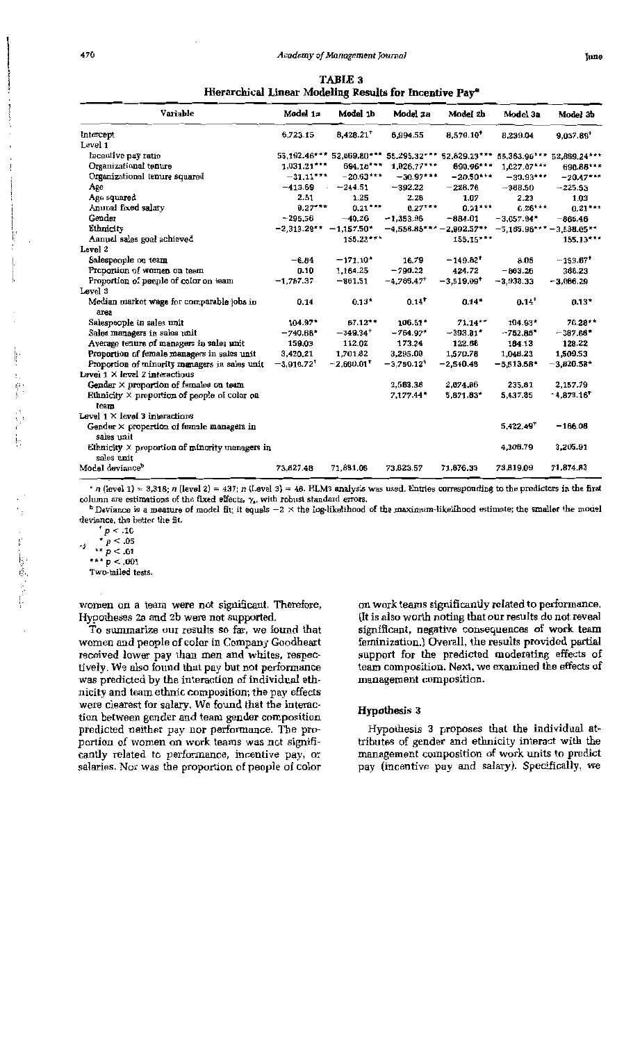| Variable                                                            | Model 1a                 | Model 1b                  | Model 2a                 | Model 2b                 | Model 3a                   | Model 3b                 |
|---------------------------------------------------------------------|--------------------------|---------------------------|--------------------------|--------------------------|----------------------------|--------------------------|
| Intercept                                                           | 6,723.15                 | $8,428.21$ <sup>+</sup>   | 6,994.55                 | 8,579.10 <sup>+</sup>    | 8,239.04                   | $9.037.89$ <sup>+</sup>  |
| Level 1                                                             |                          |                           |                          |                          |                            |                          |
| Incentive pay ratio                                                 |                          | 55,192.46*** 52,669.80*** | 55,295.32***             | 52,829.23***             | 55,363.96***               | 52,869.24*               |
| Organizational tenure                                               | $1,031.21***$            | 694.18***                 | $1,026.77***$            | 690.96***                | 1,027.07***                | 690.88*                  |
| Organizational tenure squared                                       | $-31.11***$              | $-20.63$ ***              | $-30.97***$              | $-20.50***$              | $-30.93***$                | $-20.47$ ***             |
| Age                                                                 | $-413.69$                | $-244.51$                 | $-392.22$                | $-228.76$                | $-388.50$                  | $-225.53$                |
| Age squared                                                         | 2.51                     | 1.25                      | 2.26                     | 1.07                     | 2.23                       | 1.03                     |
| Annual fixed salary                                                 | $0.27***$                | $0.21***$                 | $0.27***$                | $0.21***$                | $0.26***$                  | $0.21***$                |
| Gender                                                              | $-295.56$                | $-40.26$                  | $-1,353.96$              | $-884.01$                | $-3,057.94*$               | $-865.46$                |
| Ethnicity                                                           | $-2,313.29$ **           | $-1,157.50*$              | $-4,558.85***$           | $-2,992.57**$            | $-5,185.96***-3,538.05***$ |                          |
| Annual sales goal achieved                                          |                          | 155.23 ***                |                          | 155.15***                |                            | 155.13***                |
| Level 2                                                             |                          |                           |                          |                          |                            |                          |
| Salespeople on team                                                 | $-6.84$                  | $-171.10*$                | 16.79                    | $-149.82$ <sup>t</sup>   | 8.05                       | $-153.67$ <sup>+</sup>   |
| Proportion of women on team                                         | 0.10                     | 1.164.25                  | $-799.22$                | 424.72                   | $-863.26$                  | 388.23                   |
| Proportion of people of color on team                               | $-1,787.37$              | $-861.51$                 | $-4.786.47$ <sup>t</sup> | $-3,519.09$ <sup>t</sup> | $-3,938.33$                | $-3,066,29$              |
| Level 3                                                             |                          |                           |                          |                          |                            |                          |
| Median market wage for comparable jobs in<br>area                   | 0.14                     | $0.13*$                   | $0.14^{+}$               | $0.14*$                  | $0.14^+$                   | $0.13*$                  |
| Salespeople in sales unit                                           | 104.97*                  | $67.12**$                 | 106.51*                  | $71.14**$                | 104.93*                    | 70.28**                  |
| Sales managers in sales unit                                        | $-740.66*$               | $-349.34$ <sup>+</sup>    | $-764.97*$               | $-393.81*$               | $-752.85*$                 | $-387.68*$               |
| Average tenure of managers in sales unit                            | 159.03                   | 112.02                    | 173.24                   | 122.86                   | 184.13                     | 128.22                   |
| Proportion of female managers in sales unit                         | 3,420.21                 | 1,701.82                  | 3,295.00                 | 1,570.78                 | 1,048.23                   | 1,509.53                 |
| Proportion of minority managers in sales unit                       | $-3,919.72$ <sup>+</sup> | $-2,660.01$ <sup>+</sup>  | $-3,750.12$ <sup>t</sup> | $-2,540.48$              | $-5,513.58*$               | $-3,820.58*$             |
| Level $1 \times$ level 2 interactions                               |                          |                           |                          |                          |                            |                          |
| Gender $\times$ proportion of females on team                       |                          |                           | 2,563.38                 | 2,074.66                 | 235.81                     | 2,157.79                 |
| Ethnicity $\times$ proportion of people of color on<br>team         |                          |                           | 7,177.44*                | 5,871.83*                | 5,437.85                   | $-4,873.16$ <sup>t</sup> |
| Level $1 \times$ level 3 interactions                               |                          |                           |                          |                          |                            |                          |
| Gender $\times$ proportion of female managers in                    |                          |                           |                          |                          | $5,422.49$ <sup>+</sup>    | $-166.08$                |
| sales unit                                                          |                          |                           |                          |                          |                            |                          |
| Ethnicity $\times$ proportion of minority managers in<br>sales unit |                          |                           |                          |                          | 4,306.79                   | 3,205.91                 |
| Model deviance <sup>b</sup>                                         | 73,827.48                | 71,881.06                 | 73,823.57                | 71,876.35                | 73.819.09                  | 71,874.83                |

" n (level 1) = 3,318; n (level 2) = 437; n (Level 3) = 46. HLM3 analysis was used. Entries corresponding to the predictors in the first column are estimations of the fixed effects,  $\gamma_s$ , with robust standard errors.

 $b$  Deviance is a measure of model fit; it equals  $-2 \times$  the log-likelihood of the maximum-likelihood estimate; the smaller the model deviance, the better the fit.

 $^\dagger$   $p$   $<$  .10  $^\star$   $p$   $<$  .05

 $\label{eq:4.1} -\frac{1}{4}\mathcal{O}(\sqrt{3})\leq \frac{4\mathcal{O}(\sqrt{3})\mathcal{O}(\sqrt{3})}{\mathcal{O}(\sqrt{3})\mathcal{O}(\sqrt{3})}=\sqrt{3}\mathcal{O}(\sqrt{3})\leq \sqrt{3}.$ 

 $\begin{array}{c} \n ^{p} \rightarrow p^2 > .01 \\
\n ^{p} \rightarrow \infty \quad 0.01 \\
\n ^{p} \rightarrow \infty \quad 0.01 \\
\n ^{p} \rightarrow \infty \quad 0.01 \\
\n \end{array}$ Two-tailed tests.

women on a team were not significant. Therefore, Hypotheses 2a and 2b were not supported.

To summarize our results so far, we found that women and people of color in Company Goodheart received lower pay than men and whites, respectively. We also found that pay but not performance was predicted by the interaction of individual ethnicity and team ethnic composition; the pay effects were clearest for salary. We found that the interaction between gender and team gender composition predicted neither pay nor performance. The proportion of women on work teams was not significantly related to performance, incentive pay, or salaries. Nor was the proportion of people of color on work teams significantly related to performance. (It is also worth noting that our results do not reveal significant, negative consequences of work team feminization.) Overall, the results provided partial support for the predicted moderating effects of team composition. Next, we examined the effects of management composition.

#### Hypothesis 3

Hypothesis 3 proposes that the individual attributes of gender and ethnicity interact with the management composition of work units to predict pay (incentive pay and salary). Specifically, we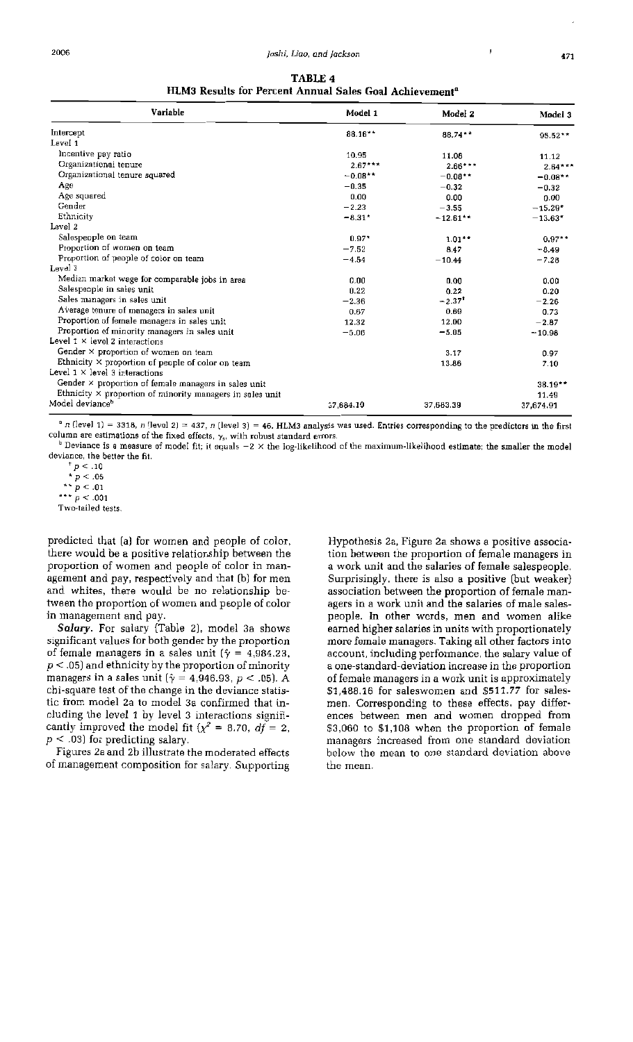| TABLE 4                                                             |  |
|---------------------------------------------------------------------|--|
| HLM3 Results for Percent Annual Sales Goal Achievement <sup>®</sup> |  |

| Variable                                                         | Model 1   | Model 2              | Model 3   |
|------------------------------------------------------------------|-----------|----------------------|-----------|
| Intercept                                                        | $88.16**$ | 88.74**              | 95.52**   |
| Level 1                                                          |           |                      |           |
| Incentive pay ratio                                              | 10.95     | 11.08                | 11.12     |
| Organizational tenure                                            | $2.67***$ | $2.66***$            | $2.64***$ |
| Organizational tenure squared                                    | $-0.08**$ | $-0.08$ **           | $-0.08**$ |
| Age                                                              | $-0.35$   | $-0.32$              | $-0.32$   |
| Age squared                                                      | 0.00      | 0.00                 | 0.00      |
| Gender                                                           | $-2.23$   | $-3.55$              | $-15.29*$ |
| Ethnicity                                                        | $-8.31*$  | $-12.61**$           | $-13.63*$ |
| Level 2                                                          |           |                      |           |
| Salespeople on team                                              | $0.97*$   | $1.01***$            | $0.97**$  |
| Proportion of women on team                                      | $-7.52$   | 8.47                 | $-8.49$   |
| Proportion of people of color on team                            | $-4.54$   | $-10.44$             | $-7.28$   |
| Level 3                                                          |           |                      |           |
| Median market wage for comparable jobs in area                   | 0.00      | 0.00                 | 0.00      |
| Salespeople in sales unit                                        | 0.22      | 0.22                 | 0.20      |
| Sales managers in sales unit                                     | $-2.36$   | $-2.37$ <sup>t</sup> | $-2.26$   |
| Average tenure of managers in sales unit                         | 0.67      | 0.69                 | 0.73      |
| Proportion of female managers in sales unit                      | 12.32     | 12.00                | $-2.87$   |
| Proportion of minority managers in sales unit                    | $-5.06$   | $-5.05$              | $-10.98$  |
| Level $1 \times$ level 2 interactions                            |           |                      |           |
| Gender $\times$ proportion of women on team                      |           | 3.17                 | 0.97      |
| Ethnicity × proportion of people of color on team                |           | 13.86                | 7.10      |
| Level $1 \times$ level 3 interactions                            |           |                      |           |
| Gender $\times$ proportion of female managers in sales unit      |           |                      | 38.19**   |
| Ethnicity $\times$ proportion of minority managers in sales unit |           |                      | 11.49     |
| Model deviance <sup>b</sup>                                      | 37,684.10 | 37,683.39            | 37,674.91 |

 $n$  (level 1) = 3318, n (level 2) = 437, n (level 3) = 46. HLM3 analysis was used. Entries corresponding to the predictors in the first column are estimations of the fixed effects,  $\gamma_s$ , with robust standard errors

 $^b$  Deviance is a measure of model fit; it equals  $-2 \times$  the log-likelihood of the maximum-likelihood estimate; the smaller the model deviance, the better the fit.

 $+p < .10$  $p < .05$ \*\* $p < .01$ \*\*\*  $p < .001$ 

Two-tailed tests.

predicted that (a) for women and people of color, there would be a positive relationship between the proportion of women and people of color in management and pay, respectively and that (b) for men and whites, there would be no relationship between the proportion of women and people of color in management and pay.

Salary. For salary (Table 2), model 3a shows significant values for both gender by the proportion of female managers in a sales unit ( $\hat{y} = 4,984.23$ ,  $p < .05$ ) and ethnicity by the proportion of minority managers in a sales unit ( $\hat{\gamma} = 4.946.93$ ,  $p < .05$ ). A chi-square test of the change in the deviance statistic from model 2a to model 3a confirmed that including the level 1 by level 3 interactions significantly improved the model fit  $(\chi^2 = 8.70, df = 2,$  $p < .03$ ) for predicting salary.

Figures 2a and 2b illustrate the moderated effects of management composition for salary. Supporting

Hypothesis 2a, Figure 2a shows a positive association between the proportion of female managers in a work unit and the salaries of female salespeople. Surprisingly, there is also a positive (but weaker) association between the proportion of female managers in a work unit and the salaries of male salespeople. In other words, men and women alike earned higher salaries in units with proportionately more female managers. Taking all other factors into account, including performance, the salary value of a one-standard-deviation increase in the proportion of female managers in a work unit is approximately \$1,488.16 for saleswomen and \$511.77 for salesmen. Corresponding to these effects, pay differences between men and women dropped from \$3,060 to \$1,108 when the proportion of female managers increased from one standard deviation below the mean to one standard deviation above the mean.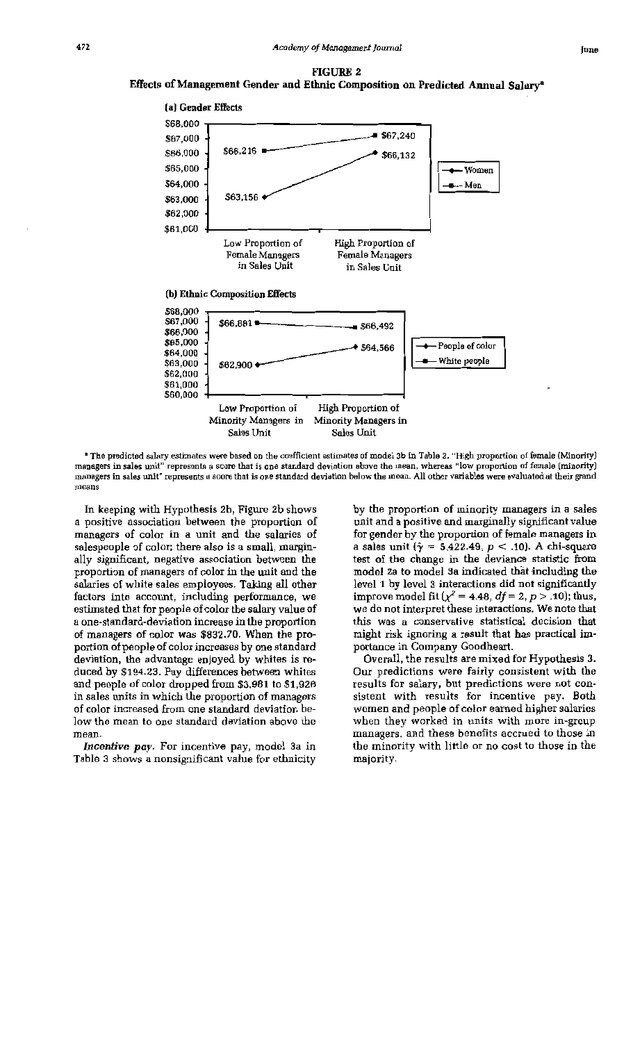

<sup>a</sup> The predicted salary estimates were based on the coefficient estimates of model 3b in Table 2. "High proportion of female (Minority) managers in sales unit" represents a score that is one standard deviation above the mean, whereas "low proportion of female (minority) managers in sales unit" represents a score that is one standard deviation below the mean. All other variables were evaluated at their grand means.

In keeping with Hypothesis 2b, Figure 2b shows a positive association between the proportion of managers of color in a unit and the salaries of salespeople of color; there also is a small, marginally significant, negative association between the proportion of managers of color in the unit and the salaries of white sales employees. Taking all other factors into account, including performance, we estimated that for people of color the salary value of a one-standard-deviation increase in the proportion of managers of color was \$832.70. When the proportion of people of color increases by one standard deviation, the advantage enjoyed by whites is reduced by \$194.23. Pay differences between whites and people of color dropped from \$3,981 to \$1,926 in sales units in which the proportion of managers of color increased from one standard deviation below the mean to one standard deviation above the mean.

Incentive pay. For incentive pay, model 3a in Table 3 shows a nonsignificant value for ethnicity by the proportion of minority managers in a sales unit and a positive and marginally significant value for gender by the proportion of female managers in a sales unit ( $\hat{\gamma}$  = 5,422.49,  $p$  < .10). A chi-square test of the change in the deviance statistic from model 2a to model 3a indicated that including the level 1 by level 3 interactions did not significantly improve model fit ( $\chi^2$  = 4.48,  $df$  = 2, p > .10); thus, we do not interpret these interactions. We note that this was a conservative statistical decision that might risk ignoring a result that has practical importance in Company Goodheart.

Overall, the results are mixed for Hypothesis 3. Our predictions were fairly consistent with the results for salary, but predictions were not consistent with results for incentive pay. Both women and people of color earned higher salaries when they worked in units with more in-group managers, and these benefits accrued to those in the minority with little or no cost to those in the majority.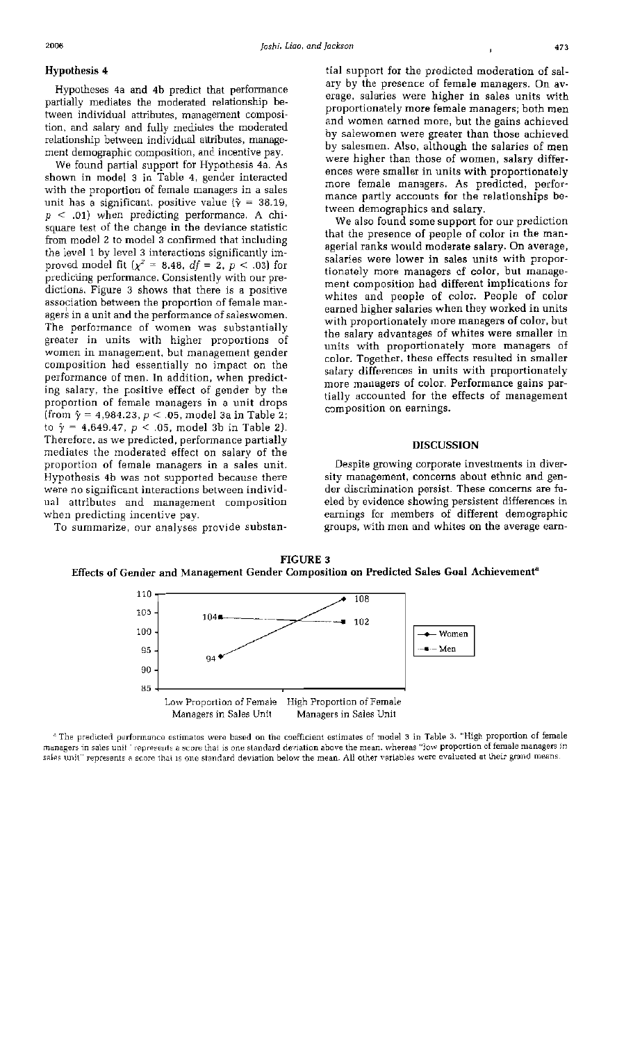### **Hypothesis 4**

Hypotheses 4a and 4b predict that performance partially mediates the moderated relationship between individual attributes, management composition, and salary and fully mediates the moderated relationship between individual attributes, management demographic composition, and incentive pay.

We found partial support for Hypothesis 4a. As shown in model 3 in Table 4, gender interacted with the proportion of female managers in a sales unit has a significant, positive value ( $\hat{\gamma}$  = 38.19,  $p < .01$ ) when predicting performance. A chisquare test of the change in the deviance statistic from model 2 to model 3 confirmed that including the level 1 by level 3 interactions significantly improved model fit ( $\chi^2 = 8.48$ ,  $df = 2$ ,  $p < .03$ ) for predicting performance. Consistently with our predictions, Figure 3 shows that there is a positive association between the proportion of female managers in a unit and the performance of saleswomen. The performance of women was substantially greater in units with higher proportions of women in management, but management gender composition had essentially no impact on the performance of men. In addition, when predicting salary, the positive effect of gender by the proportion of female managers in a unit drops (from  $\hat{y} = 4,984.23, p < .05$ , model 3a in Table 2; to  $\hat{\gamma}$  = 4,649.47,  $p < .05$ , model 3b in Table 2). Therefore, as we predicted, performance partially mediates the moderated effect on salary of the proportion of female managers in a sales unit. Hypothesis 4b was not supported because there were no significant interactions between individual attributes and management composition when predicting incentive pay.

tial support for the predicted moderation of salary by the presence of female managers. On average, salaries were higher in sales units with proportionately more female managers; both men and women earned more, but the gains achieved by salewomen were greater than those achieved by salesmen. Also, although the salaries of men were higher than those of women, salary differences were smaller in units with proportionately more female managers. As predicted, performance partly accounts for the relationships between demographics and salary.

We also found some support for our prediction that the presence of people of color in the managerial ranks would moderate salary. On average, salaries were lower in sales units with proportionately more managers of color, but management composition had different implications for whites and people of color. People of color earned higher salaries when they worked in units with proportionately more managers of color, but the salary advantages of whites were smaller in units with proportionately more managers of color. Together, these effects resulted in smaller salary differences in units with proportionately more managers of color. Performance gains partially accounted for the effects of management composition on earnings.

#### **DISCUSSION**

Despite growing corporate investments in diversity management, concerns about ethnic and gender discrimination persist. These concerns are fueled by evidence showing persistent differences in earnings for members of different demographic groups, with men and whites on the average earn-

To summarize, our analyses provide substan-





<sup>&</sup>lt;sup>a</sup> The predicted performance estimates were based on the coefficient estimates of model 3 in Table 3. "High proportion of female managers in sales unit 'represents a score that is one standard deviation above the mean, whereas "low proportion of female managers in sales unit" represents a score that is one standard deviation below the mean. All other variables were evaluated at their grand means.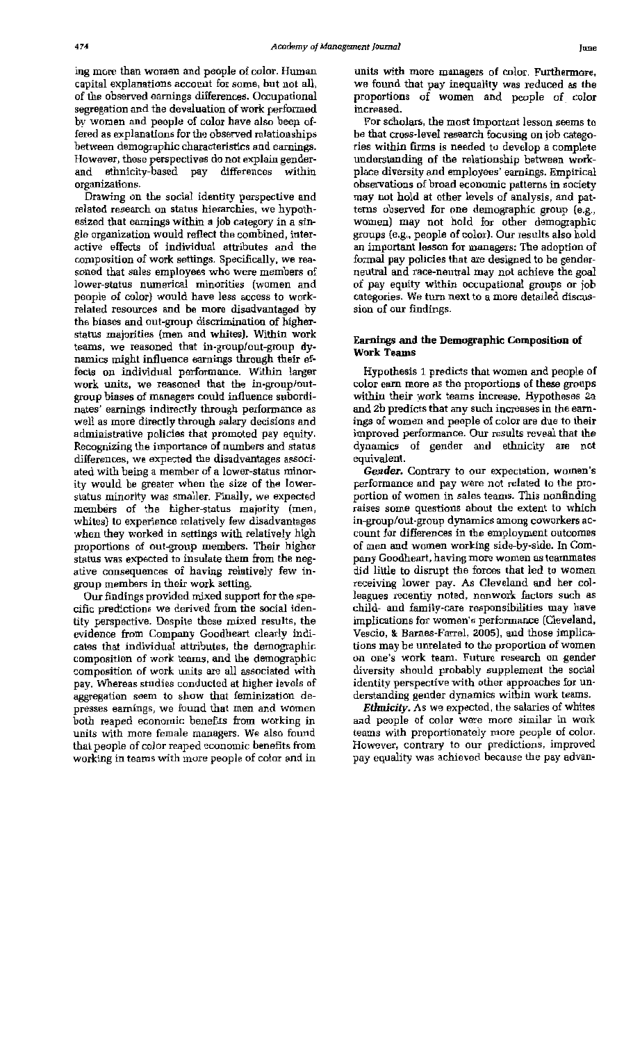ing more than women and people of color. Human capital explanations account for some, but not all, of the observed earnings differences. Occupational segregation and the devaluation of work performed by women and people of color have also been offered as explanations for the observed relationships between demographic characteristics and earnings. However, these perspectives do not explain genderethnicity-based pay differences and within organizations.

Drawing on the social identity perspective and related research on status hierarchies, we hypothesized that earnings within a job category in a single organization would reflect the combined, interactive effects of individual attributes and the composition of work settings. Specifically, we reasoned that sales employees who were members of lower-status numerical minorities (women and people of color) would have less access to workrelated resources and be more disadvantaged by the biases and out-group discrimination of higherstatus majorities (men and whites). Within work teams, we reasoned that in-group/out-group dynamics might influence earnings through their effects on individual performance. Within larger work units, we reasoned that the in-group/outgroup biases of managers could influence subordinates' earnings indirectly through performance as well as more directly through salary decisions and administrative policies that promoted pay equity. Recognizing the importance of numbers and status differences, we expected the disadvantages associated with being a member of a lower-status minority would be greater when the size of the lowerstatus minority was smaller. Finally, we expected members of the higher-status majority (men, whites) to experience relatively few disadvantages when they worked in settings with relatively high proportions of out-group members. Their higher status was expected to insulate them from the negative consequences of having relatively few ingroup members in their work setting.

Our findings provided mixed support for the specific predictions we derived from the social identity perspective. Despite these mixed results, the evidence from Company Goodheart clearly indicates that individual attributes, the demographic composition of work teams, and the demographic composition of work units are all associated with pay. Whereas studies conducted at higher levels of aggregation seem to show that feminization depresses earnings, we found that men and women both reaped economic benefits from working in units with more female managers. We also found that people of color reaped economic benefits from working in teams with more people of color and in

units with more managers of color. Furthermore, we found that pay inequality was reduced as the proportions of women and people of color increased.

For scholars, the most important lesson seems to be that cross-level research focusing on job categories within firms is needed to develop a complete understanding of the relationship between workplace diversity and employees' earnings. Empirical observations of broad economic patterns in society may not hold at other levels of analysis, and patterns observed for one demographic group (e.g., women) may not hold for other demographic groups (e.g., people of color). Our results also hold an important lesson for managers: The adoption of formal pay policies that are designed to be genderneutral and race-neutral may not achieve the goal of pay equity within occupational groups or job categories. We turn next to a more detailed discussion of our findings.

#### Earnings and the Demographic Composition of **Work Teams**

Hypothesis 1 predicts that women and people of color earn more as the proportions of these groups within their work teams increase. Hypotheses 2a and 2b predicts that any such increases in the earnings of women and people of color are due to their improved performance. Our results reveal that the dynamics of gender and ethnicity are not equivalent.

Gender. Contrary to our expectation, women's performance and pay were not related to the proportion of women in sales teams. This nonfinding raises some questions about the extent to which in-group/out-group dynamics among coworkers account for differences in the employment outcomes of men and women working side-by-side. In Company Goodheart, having more women as teammates did little to disrupt the forces that led to women receiving lower pay. As Cleveland and her colleagues recently noted, nonwork factors such as child- and family-care responsibilities may have implications for women's performance (Cleveland, Vescio, & Barnes-Farrel, 2005), and those implications may be unrelated to the proportion of women on one's work team. Future research on gender diversity should probably supplement the social identity perspective with other approaches for understanding gender dynamics within work teams.

Ethnicity. As we expected, the salaries of whites and people of color were more similar in work teams with proportionately more people of color. However, contrary to our predictions, improved pay equality was achieved because the pay advan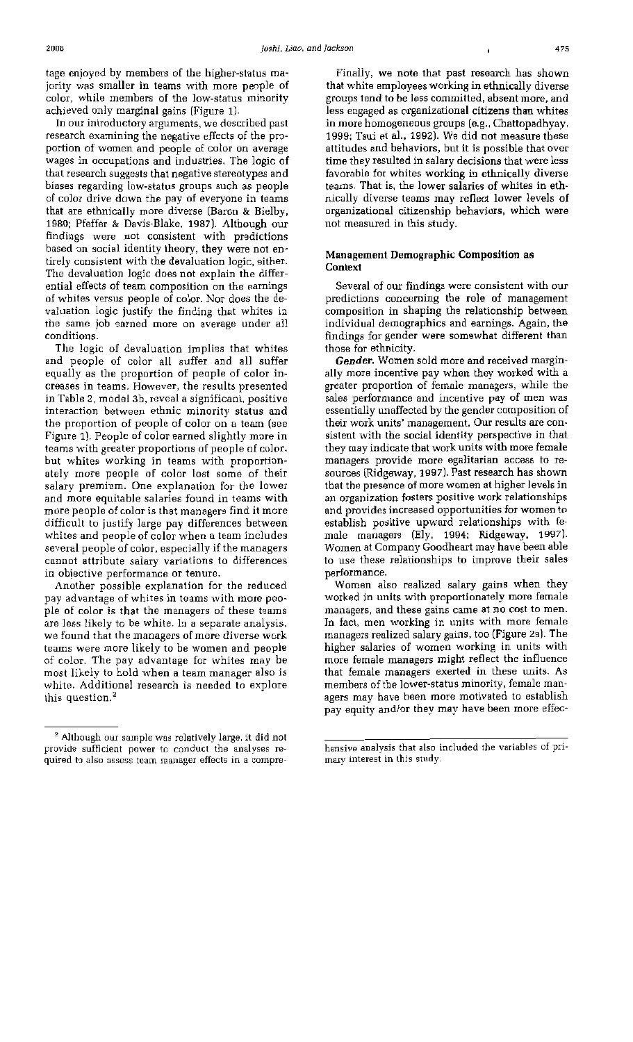tage enjoyed by members of the higher-status majority was smaller in teams with more people of color, while members of the low-status minority achieved only marginal gains (Figure 1).

In our introductory arguments, we described past research examining the negative effects of the proportion of women and people of color on average wages in occupations and industries. The logic of that research suggests that negative stereotypes and biases regarding low-status groups such as people of color drive down the pay of everyone in teams that are ethnically more diverse (Baron & Bielby, 1980; Pfeffer & Davis-Blake, 1987). Although our findings were not consistent with predictions based on social identity theory, they were not entirely consistent with the devaluation logic, either. The devaluation logic does not explain the differential effects of team composition on the earnings of whites versus people of color. Nor does the devaluation logic justify the finding that whites in the same job earned more on average under all conditions.

The logic of devaluation implies that whites and people of color all suffer and all suffer equally as the proportion of people of color increases in teams. However, the results presented in Table 2, model 3b, reveal a significant, positive interaction between ethnic minority status and the proportion of people of color on a team (see Figure 1). People of color earned slightly more in teams with greater proportions of people of color. but whites working in teams with proportionately more people of color lost some of their salary premium. One explanation for the lower and more equitable salaries found in teams with more people of color is that managers find it more difficult to justify large pay differences between whites and people of color when a team includes several people of color, especially if the managers cannot attribute salary variations to differences in objective performance or tenure.

Another possible explanation for the reduced pay advantage of whites in teams with more people of color is that the managers of these teams are less likely to be white. In a separate analysis, we found that the managers of more diverse work teams were more likely to be women and people of color. The pay advantage for whites may be most likely to hold when a team manager also is white. Additional research is needed to explore this question.<sup>2</sup>

Finally, we note that past research has shown that white employees working in ethnically diverse groups tend to be less committed, absent more, and less engaged as organizational citizens than whites in more homogeneous groups (e.g., Chattopadhyay, 1999; Tsui et al., 1992). We did not measure these attitudes and behaviors, but it is possible that over time they resulted in salary decisions that were less favorable for whites working in ethnically diverse teams. That is, the lower salaries of whites in ethnically diverse teams may reflect lower levels of organizational citizenship behaviors, which were not measured in this study.

# **Management Demographic Composition as Context**

Several of our findings were consistent with our predictions concerning the role of management composition in shaping the relationship between individual demographics and earnings. Again, the findings for gender were somewhat different than those for ethnicity.

Gender. Women sold more and received marginally more incentive pay when they worked with a greater proportion of female managers, while the sales performance and incentive pay of men was essentially unaffected by the gender composition of their work units' management. Our results are consistent with the social identity perspective in that they may indicate that work units with more female managers provide more egalitarian access to resources (Ridgeway, 1997). Past research has shown that the presence of more women at higher levels in an organization fosters positive work relationships and provides increased opportunities for women to establish positive upward relationships with female managers (Ely, 1994; Ridgeway, 1997). Women at Company Goodheart may have been able to use these relationships to improve their sales performance.

Women also realized salary gains when they worked in units with proportionately more female managers, and these gains came at no cost to men. In fact, men working in units with more female managers realized salary gains, too (Figure 2a). The higher salaries of women working in units with more female managers might reflect the influence that female managers exerted in these units. As members of the lower-status minority, female managers may have been more motivated to establish pay equity and/or they may have been more effec-

<sup>&</sup>lt;sup>2</sup> Although our sample was relatively large, it did not provide sufficient power to conduct the analyses required to also assess team manager effects in a compre-

hensive analysis that also included the variables of primary interest in this study.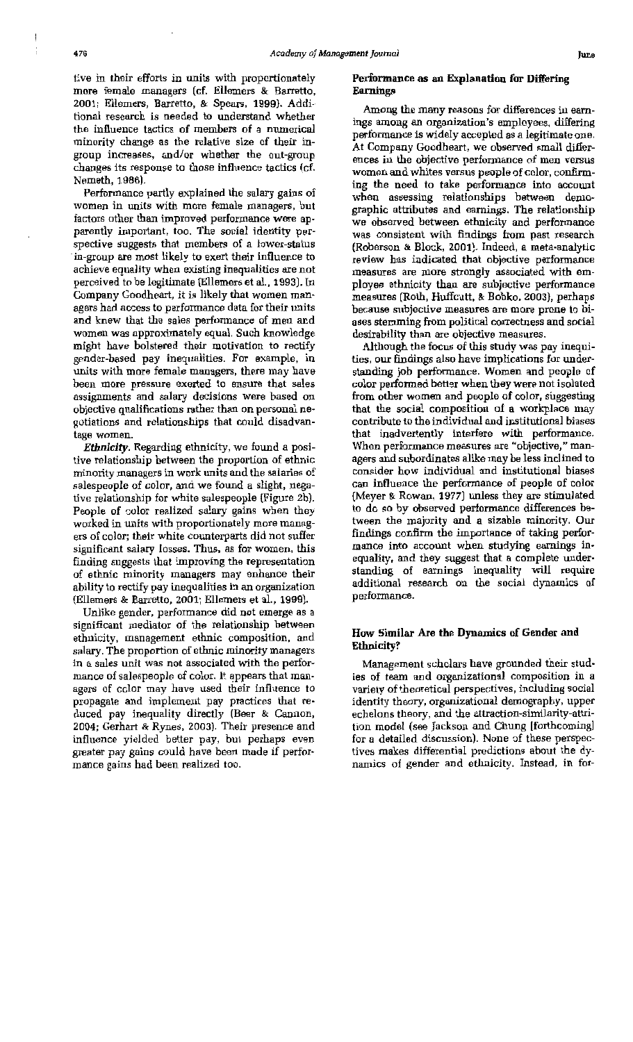tive in their efforts in units with proportionately more female managers (cf. Ellemers & Barretto, 2001; Ellemers, Barretto, & Spears, 1999). Additional research is needed to understand whether the influence tactics of members of a numerical minority change as the relative size of their ingroup increases, and/or whether the out-group changes its response to those influence tactics (cf. Nemeth, 1986).

Performance partly explained the salary gains of women in units with more female managers, but factors other than improved performance were apparently important, too. The social identity perspective suggests that members of a lower-status in-group are most likely to exert their influence to achieve equality when existing inequalities are not perceived to be legitimate (Ellemers et al., 1993). In Company Goodheart, it is likely that women managers had access to performance data for their units and knew that the sales performance of men and women was approximately equal. Such knowledge might have bolstered their motivation to rectify gender-based pay inequalities. For example, in units with more female managers, there may have been more pressure exerted to ensure that sales assignments and salary decisions were based on objective qualifications rather than on personal negotiations and relationships that could disadvantage women.

Ethnicity. Regarding ethnicity, we found a positive relationship between the proportion of ethnic minority managers in work units and the salaries of salespeople of color, and we found a slight, negative relationship for white salespeople (Figure 2b). People of color realized salary gains when they worked in units with proportionately more managers of color; their white counterparts did not suffer significant salary losses. Thus, as for women, this finding suggests that improving the representation of ethnic minority managers may enhance their ability to rectify pay inequalities in an organization (Ellemers & Barretto, 2001; Ellemers et al., 1999).

Unlike gender, performance did not emerge as a significant mediator of the relationship between ethnicity, management ethnic composition, and salary. The proportion of ethnic minority managers in a sales unit was not associated with the performance of salespeople of color. It appears that managers of color may have used their influence to propagate and implement pay practices that reduced pay inequality directly (Beer & Cannon, 2004; Gerhart & Rynes, 2003). Their presence and influence yielded better pay, but perhaps even greater pay gains could have been made if performance gains had been realized too.

# Performance as an Explanation for Differing **Earnings**

Among the many reasons for differences in earnings among an organization's employees, differing performance is widely accepted as a legitimate one. At Company Goodheart, we observed small differences in the objective performance of men versus women and whites versus people of color, confirming the need to take performance into account when assessing relationships between demographic attributes and earnings. The relationship we observed between ethnicity and performance was consistent with findings from past research (Roberson & Block, 2001). Indeed, a meta-analytic review has indicated that objective performance measures are more strongly associated with employee ethnicity than are subjective performance measures (Roth, Huffcutt, & Bobko, 2003), perhaps because subjective measures are more prone to biases stemming from political correctness and social desirability than are objective measures.

Although the focus of this study was pay inequities, our findings also have implications for understanding job performance. Women and people of color performed better when they were not isolated from other women and people of color, suggesting that the social composition of a workplace may contribute to the individual and institutional biases that inadvertently interfere with performance. When performance measures are "objective," managers and subordinates alike may be less inclined to consider how individual and institutional biases can influence the performance of people of color (Meyer & Rowan, 1977) unless they are stimulated to do so by observed performance differences between the majority and a sizable minority. Our findings confirm the importance of taking performance into account when studying earnings inequality, and they suggest that a complete understanding of earnings inequality will require additional research on the social dynamics of performance.

# How Similar Are the Dynamics of Gender and Ethnicity?

Management scholars have grounded their studies of team and organizational composition in a variety of theoretical perspectives, including social identity theory, organizational demography, upper echelons theory, and the attraction-similarity-attrition model (see Jackson and Chung [forthcoming] for a detailed discussion). None of these perspectives makes differential predictions about the dynamics of gender and ethnicity. Instead, in for-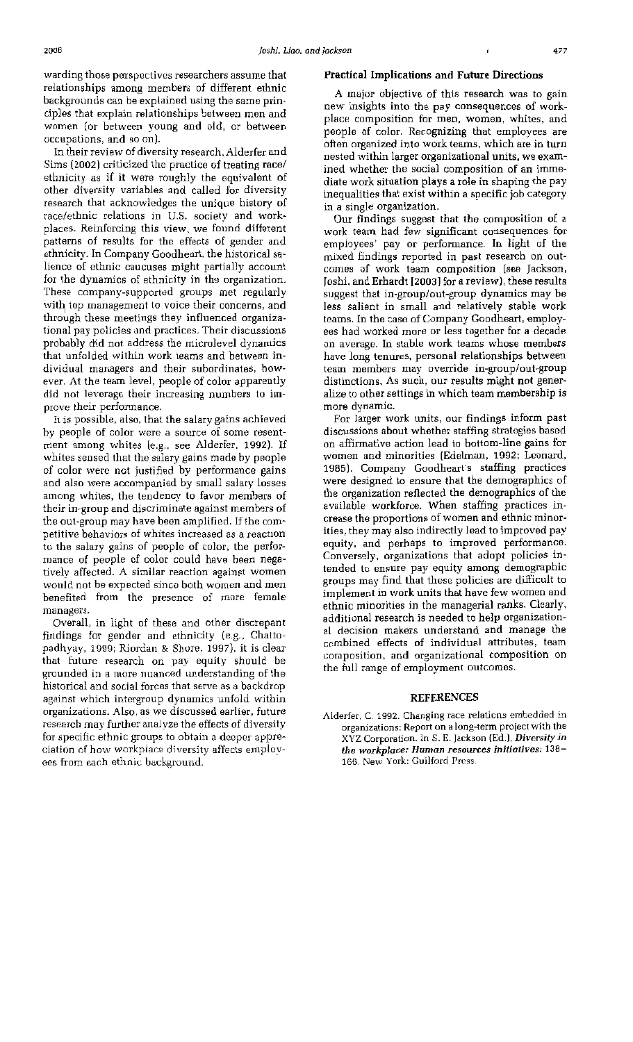warding those perspectives researchers assume that relationships among members of different ethnic backgrounds can be explained using the same principles that explain relationships between men and women (or between young and old, or between occupations, and so on).

In their review of diversity research, Alderfer and Sims (2002) criticized the practice of treating race/ ethnicity as if it were roughly the equivalent of other diversity variables and called for diversity research that acknowledges the unique history of race/ethnic relations in U.S. society and workplaces. Reinforcing this view, we found different patterns of results for the effects of gender and ethnicity. In Company Goodheart, the historical salience of ethnic caucuses might partially account for the dynamics of ethnicity in the organization. These company-supported groups met regularly with top management to voice their concerns, and through these meetings they influenced organizational pay policies and practices. Their discussions probably did not address the microlevel dynamics that unfolded within work teams and between individual managers and their subordinates, however. At the team level, people of color apparently did not leverage their increasing numbers to improve their performance.

It is possible, also, that the salary gains achieved by people of color were a source of some resentment among whites (e.g., see Alderfer, 1992). If whites sensed that the salary gains made by people of color were not justified by performance gains and also were accompanied by small salary losses among whites, the tendency to favor members of their in-group and discriminate against members of the out-group may have been amplified. If the competitive behaviors of whites increased as a reaction to the salary gains of people of color, the performance of people of color could have been negatively affected. A similar reaction against women would not be expected since both women and men benefited from the presence of more female managers.

Overall, in light of these and other discrepant findings for gender and ethnicity (e.g., Chattopadhyay, 1999; Riordan & Shore, 1997), it is clear that future research on pay equity should be grounded in a more nuanced understanding of the historical and social forces that serve as a backdrop against which intergroup dynamics unfold within organizations. Also, as we discussed earlier, future research may further analyze the effects of diversity for specific ethnic groups to obtain a deeper appreciation of how workplace diversity affects employees from each ethnic background.

#### **Practical Implications and Future Directions**

A major objective of this research was to gain new insights into the pay consequences of workplace composition for men, women, whites, and people of color. Recognizing that employees are often organized into work teams, which are in turn nested within larger organizational units, we examined whether the social composition of an immediate work situation plays a role in shaping the pay inequalities that exist within a specific job category in a single organization.

Our findings suggest that the composition of a work team had few significant consequences for employees' pay or performance. In light of the mixed findings reported in past research on outcomes of work team composition (see Jackson, Joshi, and Erhardt [2003] for a review), these results suggest that in-group/out-group dynamics may be less salient in small and relatively stable work teams. In the case of Company Goodheart, employees had worked more or less together for a decade on average. In stable work teams whose members have long tenures, personal relationships between team members may override in-group/out-group distinctions. As such, our results might not generalize to other settings in which team membership is more dynamic.

For larger work units, our findings inform past discussions about whether staffing strategies based on affirmative action lead to bottom-line gains for women and minorities (Edelman, 1992; Leonard, 1985). Company Goodheart's staffing practices were designed to ensure that the demographics of the organization reflected the demographics of the available workforce. When staffing practices increase the proportions of women and ethnic minorities, they may also indirectly lead to improved pay equity, and perhaps to improved performance. Conversely, organizations that adopt policies intended to ensure pay equity among demographic groups may find that these policies are difficult to implement in work units that have few women and ethnic minorities in the managerial ranks. Clearly, additional research is needed to help organizational decision makers understand and manage the combined effects of individual attributes, team composition, and organizational composition on the full range of employment outcomes.

#### **REFERENCES**

Alderfer, C. 1992. Changing race relations embedded in organizations: Report on a long-term project with the XYZ Corporation. In S. E. Jackson (Ed.), Diversity in the workplace: Human resources initiatives: 138-166. New York: Guilford Press.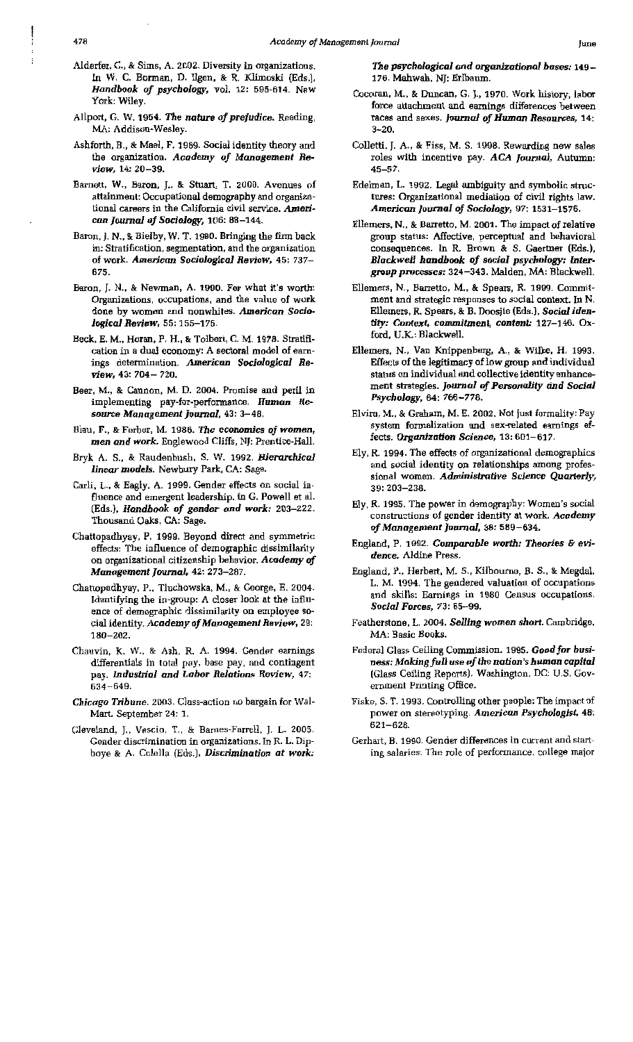- Alderfer, C., & Sims, A. 2002. Diversity in organizations. In W. C. Borman, D. Ilgen, & R. Klimoski (Eds.), Handbook of psychology, vol. 12: 595-614. New York: Wiley.
- Allport, G. W. 1954. The nature of prejudice. Reading, MA: Addison-Wesley.
- Ashforth, B., & Mael, F. 1989. Social identity theory and the organization. Academy of Management Review. 14: 20-39.
- Barnett, W., Baron, J., & Stuart, T. 2000. Avenues of attainment: Occupational demography and organizational careers in the California civil service. American Journal of Sociology, 106: 88-144.
- Baron, J. N., & Bielby, W. T. 1980. Bringing the firm back in: Stratification, segmentation, and the organization of work. American Sociological Review, 45: 737-675.
- Baron, J. N., & Newman, A. 1990. For what it's worth: Organizations, occupations, and the value of work done by women and nonwhites. American Sociological Review, 55: 155-175.
- Beck, E. M., Horan, P. H., & Tolbert, C. M. 1978. Stratification in a dual economy: A sectoral model of earnings determination. American Sociological Review, 43: 704-720.
- Beer, M., & Cannon, M. D. 2004. Promise and peril in implementing pay-for-performance. Human Resource Management Journal, 43: 3-48.
- Blau, F., & Ferber, M. 1986. The economics of women, men and work. Englewood Cliffs, NJ: Prentice-Hall.
- Bryk A. S., & Raudenbush, S. W. 1992. Hierarchical linear models. Newbury Park, CA: Sage.
- Carli, L., & Eagly, A. 1999. Gender effects on social influence and emergent leadership. In G. Powell et al. (Eds.), Handbook of gender and work: 203-222. Thousand Oaks, CA: Sage.
- Chattopadhyay, P. 1999. Beyond direct and symmetric effects: The influence of demographic dissimilarity on organizational citizenship behavior. Academy of Management Journal, 42: 273-287.
- Chattopadhyay, P., Tluchowska, M., & George, E. 2004. Identifying the in-group: A closer look at the influence of demographic dissimilarity on employee social identity. Academy of Management Review, 29:  $180 - 202$
- Chauvin, K. W., & Ash, R. A. 1994. Gender earnings differentials in total pay, base pay, and contingent pay. Industrial and Labor Relations Review, 47:  $634 - 649.$
- Chicago Tribune. 2003. Class-action no bargain for Wal-Mart. September 24: 1.
- Cleveland, J., Vescio, T., & Barnes-Farrell, J. L. 2005. Gender discrimination in organizations. In R. L. Dipboye & A. Colella (Eds.), Discrimination at work:

The psychological and organizational bases: 149-176. Mahwah, NJ: Erlbaum.

- Cocoran, M., & Duncan, G. J., 1970. Work history, labor force attachment and earnings differences between races and sexes. Journal of Human Resources, 14:  $3 - 20.$
- Colletti, J. A., & Fiss, M. S. 1998. Rewarding new sales roles with incentive pay. ACA Journal, Autumn:  $45 - 57.$
- Edelman, L. 1992. Legal ambiguity and symbolic structures: Organizational mediation of civil rights law. American Journal of Sociology, 97: 1531–1576.
- Ellemers, N., & Barretto, M. 2001. The impact of relative group status: Affective, perceptual and behavioral consequences. In R. Brown & S. Gaertner (Eds.), Blackwell handbook of social psychology: Intergroup processes: 324-343. Malden, MA: Blackwell.
- Ellemers, N., Barretto, M., & Spears, R. 1999. Commitment and strategic responses to social context. In N. Ellemers, R. Spears, & B. Doosjie (Eds.), Social identity: Context, commitment, content: 127-146. Oxford, U.K.: Blackwell.
- Ellemers, N., Van Knippenberg, A., & Wilke, H. 1993. Effects of the legitimacy of low group and individual status on individual and collective identity enhancement strategies. Journal of Personality and Social Psychology, 64: 766-778.
- Elvira, M., & Graham, M. E. 2002. Not just formality: Pay system formalization and sex-related earnings effects. Organization Science, 13: 601-617.
- Ely, R. 1994. The effects of organizational demographics and social identity on relationships among professional women. Administrative Science Quarterly, 39: 203-238.
- Ely, R. 1995. The power in demography: Women's social constructions of gender identity at work. Academy of Management Journal, 38: 589–634.
- England, P. 1992. Comparable worth: Theories & evidence. Aldine Press.
- England, P., Herbert, M. S., Kilbourne, B. S., & Megdal, L. M. 1994. The gendered valuation of occupations and skills: Earnings in 1980 Census occupations. Social Forces, 73: 65-99.
- Featherstone, L. 2004. Selling women short. Cambridge, MA: Basic Books.
- Federal Glass Ceiling Commission. 1995. Good for business: Making full use of the nation's human capital (Glass Ceiling Reports). Washington, DC: U.S. Government Printing Office.
- Fiske, S. T. 1993. Controlling other people: The impact of power on stereotyping. American Psychologist, 48: 621-628.
- Gerhart, B. 1990. Gender differences in current and starting salaries: The role of performance, college major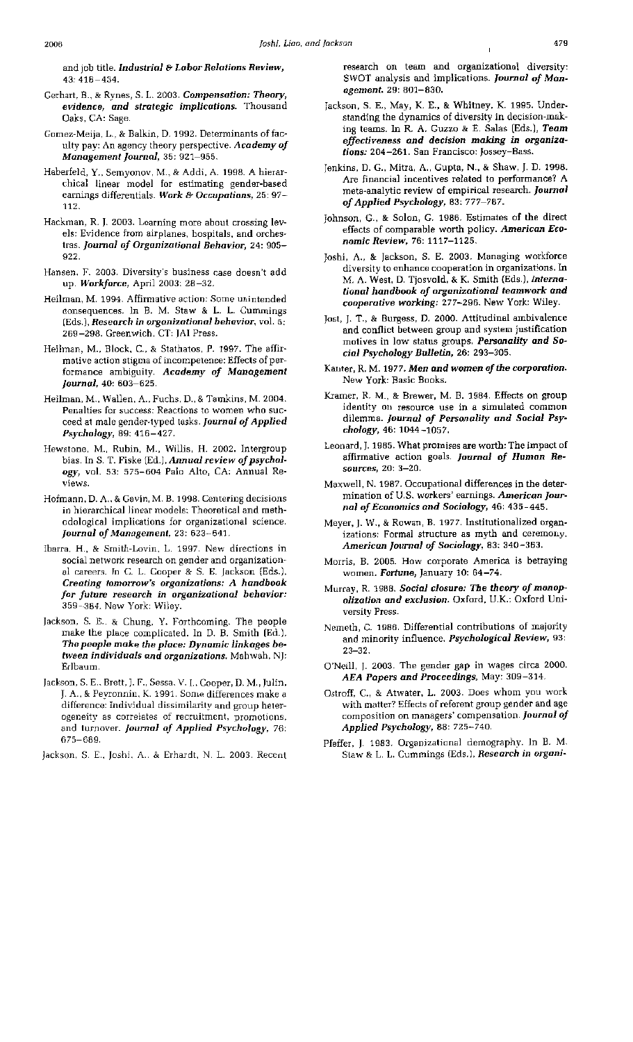and job title. Industrial  $\theta$  Labor Relations Review,  $43:418 - 434.$ 

- Gerhart, B., & Rynes, S. L. 2003. Compensation: Theory, evidence, and strategic implications. Thousand Oaks, CA: Sage.
- Gomez-Meija, L., & Balkin, D. 1992. Determinants of faculty pay: An agency theory perspective. Academy of Management Journal, 35: 921-955.
- Haberfeld, Y., Semyonov, M., & Addi, A. 1998. A hierarchical linear model for estimating gender-based earnings differentials. Work & Occupations, 25: 97-112.
- Hackman, R. J. 2003. Learning more about crossing levels: Evidence from airplanes, hospitals, and orchestras. Journal of Organizational Behavior, 24: 905-922
- Hansen, F. 2003. Diversity's business case doesn't add up. Workforce, April 2003: 28-32.
- Heilman, M. 1994. Affirmative action: Some unintended consequences. In B. M. Staw & L. L. Cummings (Eds.), Research in organizational behavior, vol. 5: 269-298. Greenwich, CT: JAI Press.
- Heilman, M., Block, C., & Stathatos, P. 1997. The affirmative action stigma of incompetence: Effects of performance ambiguity. Academy of Management Journal, 40: 603-625.
- Heilman, M., Wallen, A., Fuchs, D., & Tamkins, M. 2004. Penalties for success: Reactions to women who succeed at male gender-typed tasks. Journal of Applied Psychology, 89: 416-427.
- Hewstone, M., Rubin, M., Willis, H. 2002. Intergroup bias. In S. T. Fiske (Ed.), Annual review of psychology, vol. 53: 575-604 Palo Alto, CA: Annual Reviews.
- Hofmann, D. A., & Gavin, M. B. 1998. Centering decisions in hierarchical linear models: Theoretical and methodological implications for organizational science. Journal of Management, 23: 623-641.
- Ibarra, H., & Smith-Lovin, L. 1997. New directions in social network research on gender and organizational careers. In C. L. Cooper & S. E. Jackson (Eds.), Creating tomorrow's organizations: A handbook for future research in organizational behavior: 359-384. New York: Wiley.
- Jackson, S. E., & Chung, Y. Forthcoming. The people make the place complicated. In D. B. Smith (Ed.), The people make the place: Dynamic linkages between individuals and organizations. Mahwah, NJ: Erlbaum.
- Jackson, S. E., Brett, J. F., Sessa, V. I., Cooper, D. M., Julin, J. A., & Peyronnin, K. 1991. Some differences make a difference: Individual dissimilarity and group heterogeneity as correlates of recruitment, promotions, and turnover. Journal of Applied Psychology, 76: 675-689.
- Jackson, S. E., Joshi, A., & Erhardt, N. L. 2003. Recent

research on team and organizational diversity: SWOT analysis and implications. Journal of Management. 29: 801–830.

- Jackson, S. E., May, K. E., & Whitney, K. 1995. Understanding the dynamics of diversity in decision-making teams. In R. A. Guzzo & E. Salas (Eds.), Team effectiveness and decision making in organizations: 204-261. San Francisco: Jossey-Bass.
- Jenkins, D. G., Mitra, A., Gupta, N., & Shaw, J. D. 1998. Are financial incentives related to performance? A meta-analytic review of empirical research. Journal of Applied Psychology, 83: 777-787.
- Johnson, G., & Solon, G. 1986. Estimates of the direct effects of comparable worth policy. American Economic Review, 76: 1117-1125.
- Joshi, A., & Jackson, S. E. 2003. Managing workforce diversity to enhance cooperation in organizations. In M. A. West, D. Tjosvold, & K. Smith (Eds.), International handbook of organizational teamwork and cooperative working: 277-296. New York: Wiley.
- Jost, J. T., & Burgess, D. 2000. Attitudinal ambivalence and conflict between group and system justification motives in low status groups. Personality and Social Psychology Bulletin, 26: 293-305.
- Kanter, R. M. 1977. Men and women of the corporation. New York: Basic Books.
- Kramer, R. M., & Brewer, M. B. 1984. Effects on group identity on resource use in a simulated common dilemma. Journal of Personality and Social Psychology, 46: 1044-1057.
- Leonard, J. 1985. What promises are worth: The impact of affirmative action goals. Journal of Human Resources, 20: 3-20.
- Maxwell, N. 1987. Occupational differences in the determination of U.S. workers' earnings. American Journal of Economics and Sociology, 46: 435-445.
- Meyer, J. W., & Rowan, B. 1977. Institutionalized organizations: Formal structure as myth and ceremony. American Journal of Sociology, 83: 340-363.
- Morris, B. 2005. How corporate America is betraying women. Fortune, January 10: 64-74.
- Murray, R. 1988. Social closure: The theory of monopolization and exclusion. Oxford, U.K.: Oxford University Press.
- Nemeth, C. 1986. Differential contributions of majority and minority influence. Psychological Review, 93:  $23 - 32$
- O'Neill, J. 2003. The gender gap in wages circa 2000. AEA Papers and Proceedings, May: 309-314.
- Ostroff, C., & Atwater, L. 2003. Does whom you work with matter? Effects of referent group gender and age composition on managers' compensation. Journal of Applied Psychology, 88: 725-740.
- Pfeffer, J. 1983. Organizational demography. In B. M. Staw & L. L. Cummings (Eds.), Research in organi-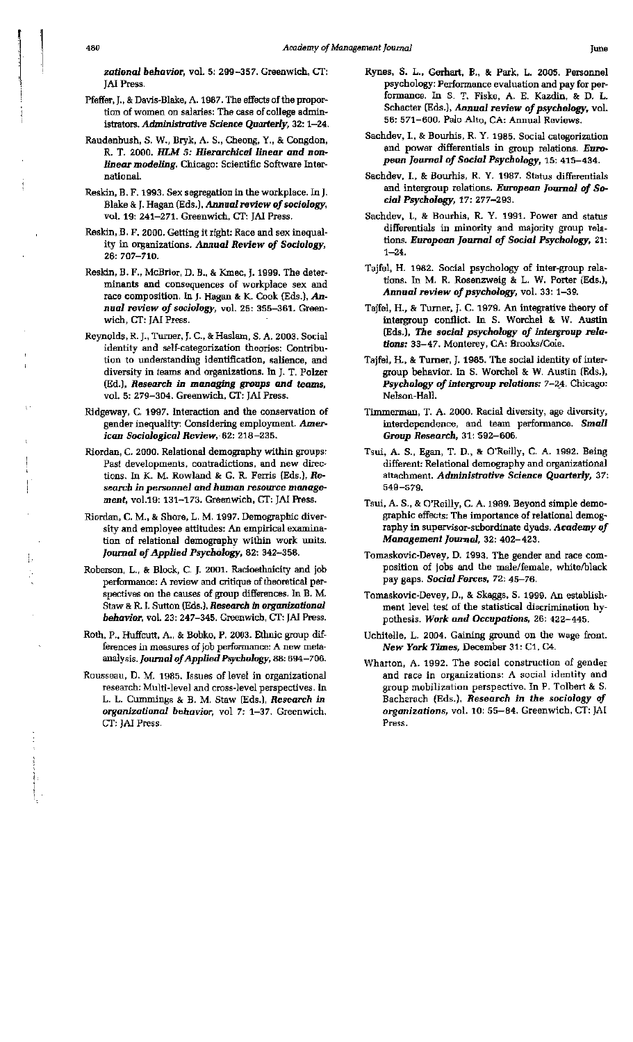zational behavior, vol. 5: 299-357. Greenwich, CT: **JAI Press** 

- Pfeffer, J., & Davis-Blake, A. 1987. The effects of the proportion of women on salaries: The case of college administrators. Administrative Science Quarterly, 32: 1-24.
- Raudenbush, S. W., Bryk, A. S., Cheong, Y., & Congdon, R. T. 2000. HLM 5: Hierarchical linear and nonlinear modeling. Chicago: Scientific Software International.
- Reskin, B. F. 1993. Sex segregation in the workplace. In J. Blake & J. Hagan (Eds.), Annual review of sociology, vol. 19: 241-271. Greenwich, CT: JAI Press.
- Reskin, B. F. 2000. Getting it right: Race and sex inequality in organizations. Annual Review of Sociology, 26: 707-710.
- Reskin, B. F., McBrier, D. B., & Kmec, J. 1999. The determinants and consequences of workplace sex and race composition. In J. Hagan & K. Cook (Eds.), Annual review of sociology, vol. 25: 355-361. Greenwich, CT: JAI Press.
- Reynolds, R. J., Turner, J. C., & Haslam, S. A. 2003. Social identity and self-categorization theories: Contribution to understanding identification, salience, and diversity in teams and organizations. In J. T. Polzer (Ed.), Research in managing groups and teams, vol. 5: 279-304. Greenwich, CT: JAI Press.
- Ridgeway, C. 1997. Interaction and the conservation of gender inequality: Considering employment. American Sociological Review, 62: 218-235.
- Riordan, C. 2000. Relational demography within groups: Past developments, contradictions, and new directions. In K. M. Rowland & G. R. Ferris (Eds.), Research in personnel and human resource management, vol.19: 131-173. Greenwich, CT: JAI Press.
- Riordan, C. M., & Shore, L. M. 1997. Demographic diversity and employee attitudes: An empirical examination of relational demography within work units. Journal of Applied Psychology, 82: 342-358.
- Roberson, L., & Block, C. J. 2001. Racioethnicity and job performance: A review and critique of theoretical perspectives on the causes of group differences. In B. M. Staw & R. I. Sutton (Eds.), Research in organizational behavior, vol. 23: 247-345. Greenwich, CT: JAI Press.
- Roth, P., Huffcutt, A., & Bobko, P. 2003. Ethnic group differences in measures of job performance: A new metaanalysis. Journal of Applied Psychology, 88: 694-706.
- Rousseau, D. M. 1985. Issues of level in organizational research: Multi-level and cross-level perspectives. In L. L. Cummings & B. M. Staw (Eds.), Research in organizational behavior, vol 7: 1-37. Greenwich, CT: JAI Press.
- Rynes, S. L., Gerhart, B., & Park, L. 2005. Personnel psychology: Performance evaluation and pay for performance. In S. T. Fiske, A. E. Kazdin, & D. L. Schacter (Eds.), Annual review of psychology, vol. 56: 571-600. Palo Alto, CA: Annual Reviews.
- Sachdev, I., & Bourhis, R. Y. 1985. Social categorization and power differentials in group relations. European Journal of Social Psychology, 15: 415-434.
- Sachdev, I., & Bourhis, R. Y. 1987. Status differentials and intergroup relations. European Journal of Social Psychology, 17: 277-293.
- Sachdev, I., & Bourhis, R. Y. 1991. Power and status differentials in minority and majority group relations. European Journal of Social Psychology, 21:  $1 - 24.$
- Tajfel, H. 1982. Social psychology of inter-group relations. In M. R. Rosenzweig & L. W. Porter (Eds.), Annual review of psychology, vol. 33: 1-39.
- Tajfel, H., & Turner, J. C. 1979. An integrative theory of intergroup conflict. In S. Worchel & W. Austin (Eds.), The social psychology of intergroup relations: 33-47. Monterey, CA: Brooks/Cole.
- Tajfel, H., & Turner, J. 1985. The social identity of intergroup behavior. In S. Worchel & W. Austin (Eds.), Psychology of intergroup relations: 7-24. Chicago: Nelson-Hall.
- Timmerman, T. A. 2000. Racial diversity, age diversity, interdependence, and team performance. Small Group Research, 31: 592-606.
- Tsui, A. S., Egan, T. D., & O'Reilly, C. A. 1992. Being different: Relational demography and organizational attachment. Administrative Science Quarterly, 37: 549-579.
- Tsui, A. S., & O'Reilly, C. A. 1989. Beyond simple demographic effects: The importance of relational demography in supervisor-subordinate dyads. Academy of Management Journal, 32: 402-423.
- Tomaskovic-Devey, D. 1993. The gender and race composition of jobs and the male/female, white/black pay gaps. Social Forces, 72: 45-76.
- Tomaskovic-Devey, D., & Skaggs, S. 1999. An establishment level test of the statistical discrimination hypothesis. Work and Occupations, 26: 422-445.
- Uchitelle, L. 2004. Gaining ground on the wage front. New York Times, December 31: C1, C4.
- Wharton, A. 1992. The social construction of gender and race in organizations: A social identity and group mobilization perspective. In P. Tolbert & S. Bacharach (Eds.), Research in the sociology of organizations, vol. 10: 55-84. Greenwich, CT: JAI Press.